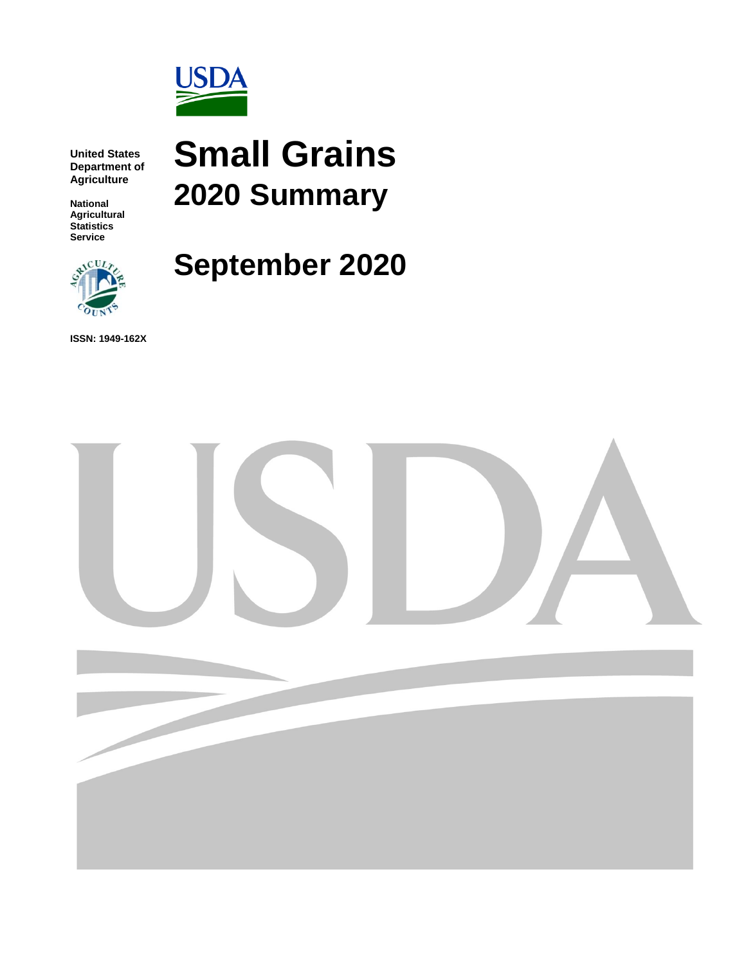

**United States Department of Agriculture**

**National Agricultural Statistics Service**



**ISSN: 1949-162X**

# **Small Grains 2020 Summary**

# **September 2020**

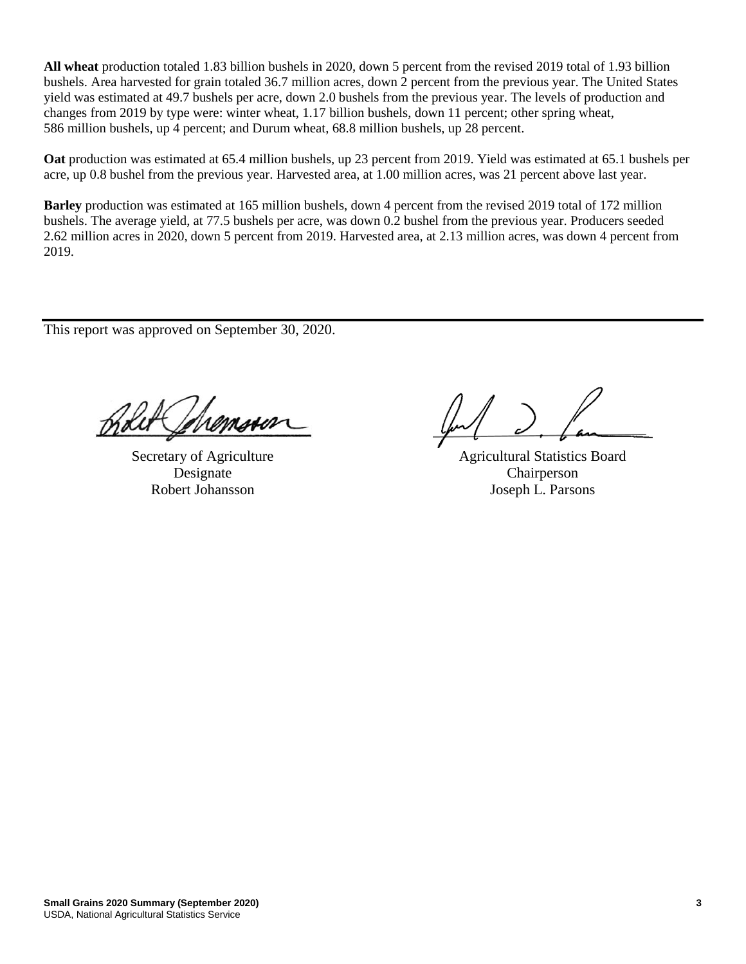**All wheat** production totaled 1.83 billion bushels in 2020, down 5 percent from the revised 2019 total of 1.93 billion bushels. Area harvested for grain totaled 36.7 million acres, down 2 percent from the previous year. The United States yield was estimated at 49.7 bushels per acre, down 2.0 bushels from the previous year. The levels of production and changes from 2019 by type were: winter wheat, 1.17 billion bushels, down 11 percent; other spring wheat, 586 million bushels, up 4 percent; and Durum wheat, 68.8 million bushels, up 28 percent.

**Oat** production was estimated at 65.4 million bushels, up 23 percent from 2019. Yield was estimated at 65.1 bushels per acre, up 0.8 bushel from the previous year. Harvested area, at 1.00 million acres, was 21 percent above last year.

**Barley** production was estimated at 165 million bushels, down 4 percent from the revised 2019 total of 172 million bushels. The average yield, at 77.5 bushels per acre, was down 0.2 bushel from the previous year. Producers seeded 2.62 million acres in 2020, down 5 percent from 2019. Harvested area, at 2.13 million acres, was down 4 percent from 2019.

This report was approved on September 30, 2020.

Secretary of Agriculture Designate Robert Johansson

Agricultural Statistics Board Chairperson Joseph L. Parsons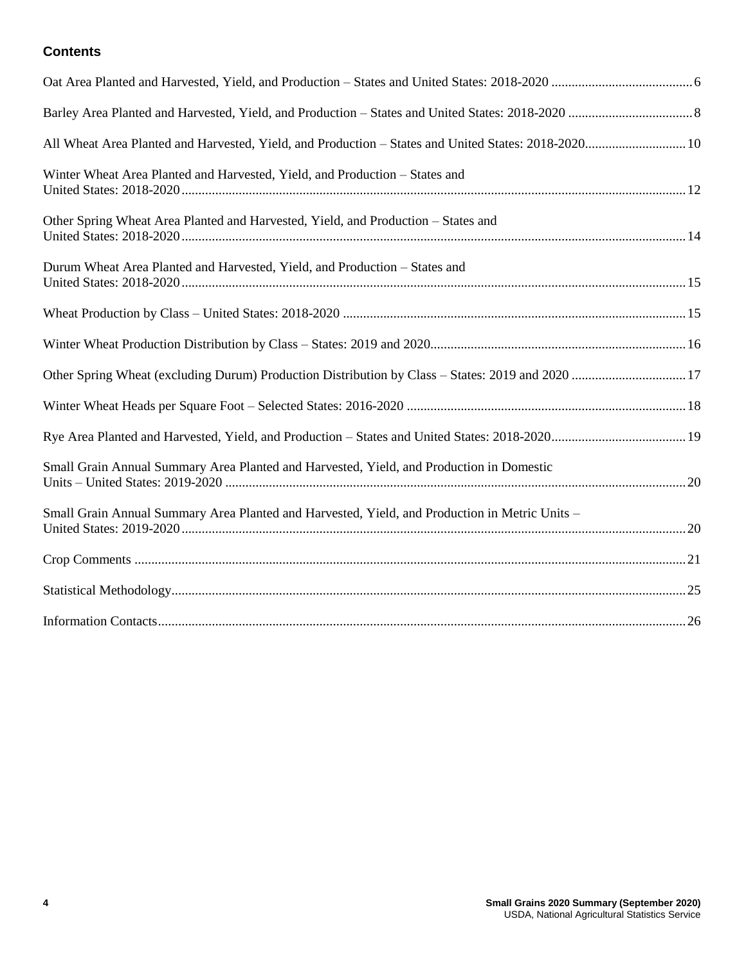# **Contents**

| All Wheat Area Planted and Harvested, Yield, and Production - States and United States: 2018-2020 10 |
|------------------------------------------------------------------------------------------------------|
| Winter Wheat Area Planted and Harvested, Yield, and Production - States and                          |
| Other Spring Wheat Area Planted and Harvested, Yield, and Production – States and                    |
| Durum Wheat Area Planted and Harvested, Yield, and Production - States and                           |
|                                                                                                      |
|                                                                                                      |
| Other Spring Wheat (excluding Durum) Production Distribution by Class - States: 2019 and 2020 17     |
|                                                                                                      |
|                                                                                                      |
| Small Grain Annual Summary Area Planted and Harvested, Yield, and Production in Domestic             |
| Small Grain Annual Summary Area Planted and Harvested, Yield, and Production in Metric Units -       |
|                                                                                                      |
|                                                                                                      |
|                                                                                                      |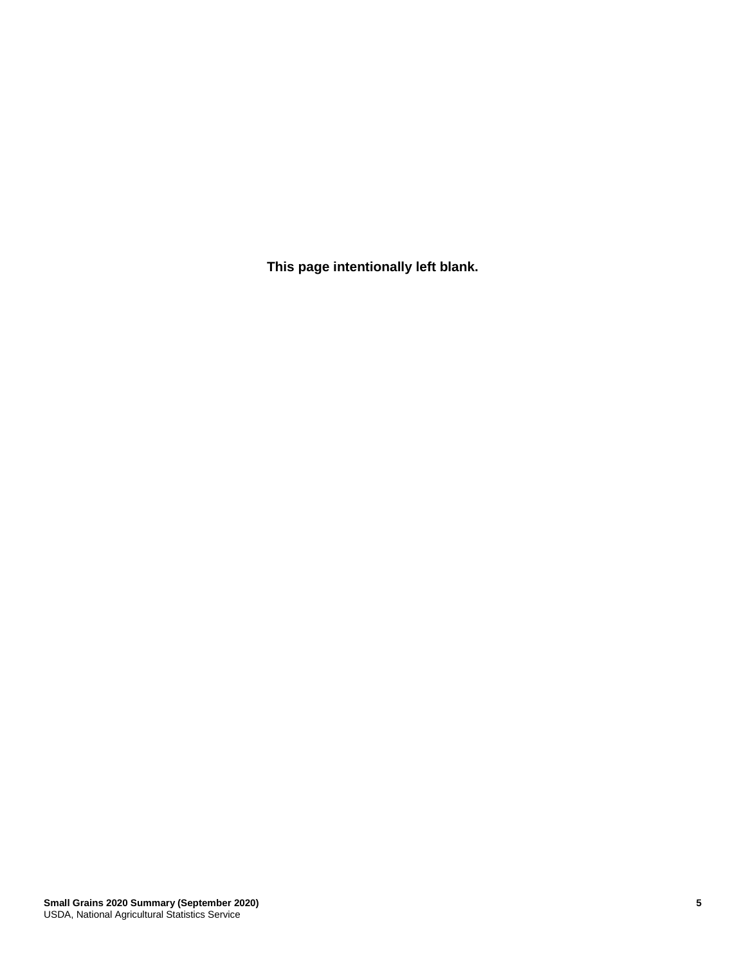**This page intentionally left blank.**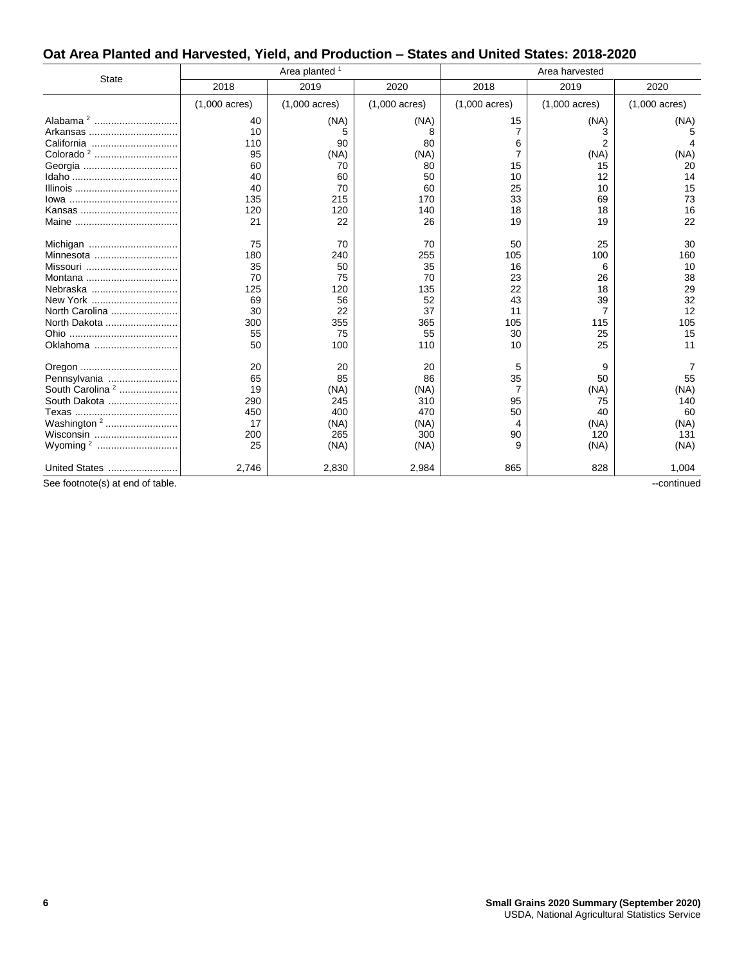# **Oat Area Planted and Harvested, Yield, and Production – States and United States: 2018-2020**

|                             |                         | Area planted <sup>1</sup> |                         | Area harvested          |                         |                         |
|-----------------------------|-------------------------|---------------------------|-------------------------|-------------------------|-------------------------|-------------------------|
| <b>State</b>                | 2018                    | 2019                      | 2020                    | 2018                    | 2019                    | 2020                    |
|                             | $(1,000 \text{ acres})$ | $(1,000 \text{ acres})$   | $(1,000 \text{ acres})$ | $(1,000 \text{ acres})$ | $(1,000 \text{ acres})$ | $(1,000 \text{ acres})$ |
| Alabama <sup>2</sup>        | 40                      | (NA)                      | (NA)                    | 15                      | (NA)                    | (NA)                    |
|                             | 10                      | 5                         | 8                       | 7                       |                         |                         |
| California                  | 110                     | 90                        | 80                      | 6                       |                         |                         |
| Colorado <sup>2</sup>       | 95                      | (NA)                      | (NA)                    |                         | (NA)                    | (NA)                    |
|                             | 60                      | 70                        | 80                      | 15                      | 15                      | 20                      |
|                             | 40                      | 60                        | 50                      | 10                      | 12                      | 14                      |
|                             | 40                      | 70                        | 60                      | 25                      | 10                      | 15                      |
|                             | 135                     | 215                       | 170                     | 33                      | 69                      | 73                      |
|                             | 120                     | 120                       | 140                     | 18                      | 18                      | 16                      |
|                             | 21                      | 22                        | 26                      | 19                      | 19                      | 22                      |
| Michigan                    | 75                      | 70                        | 70                      | 50                      | 25                      | 30                      |
| Minnesota                   | 180                     | 240                       | 255                     | 105                     | 100                     | 160                     |
| Missouri                    | 35                      | 50                        | 35                      | 16                      | 6                       | 10                      |
|                             | 70                      | 75                        | 70                      | 23                      | 26                      | 38                      |
| Nebraska                    | 125                     | 120                       | 135                     | 22                      | 18                      | 29                      |
| New York                    | 69                      | 56                        | 52                      | 43                      | 39                      | 32                      |
| North Carolina              | 30                      | 22                        | 37                      | 11                      |                         | 12                      |
| North Dakota                | 300                     | 355                       | 365                     | 105                     | 115                     | 105                     |
|                             | 55                      | 75                        | 55                      | 30                      | 25                      | 15                      |
| Oklahoma                    | 50                      | 100                       | 110                     | 10                      | 25                      | 11                      |
|                             | 20                      | 20                        | 20                      | 5                       | 9                       |                         |
| Pennsylvania                | 65                      | 85                        | 86                      | 35                      | 50                      | 55                      |
| South Carolina <sup>2</sup> | 19                      | (NA)                      | (NA)                    | 7                       | (NA)                    | (NA)                    |
| South Dakota                | 290                     | 245                       | 310                     | 95                      | 75                      | 140                     |
|                             | 450                     | 400                       | 470                     | 50                      | 40                      | 60                      |
| Washington <sup>2</sup>     | 17                      | (NA)                      | (NA)                    | 4                       | (NA)                    | (NA)                    |
| Wisconsin                   | 200                     | 265                       | 300                     | 90                      | 120                     | 131                     |
| Wyoming <sup>2</sup>        | 25                      | (NA)                      | (NA)                    | 9                       | (NA)                    | (NA)                    |
| United States               | 2,746                   | 2,830                     | 2,984                   | 865                     | 828                     | 1,004                   |

See footnote(s) at end of table. The second second service of table.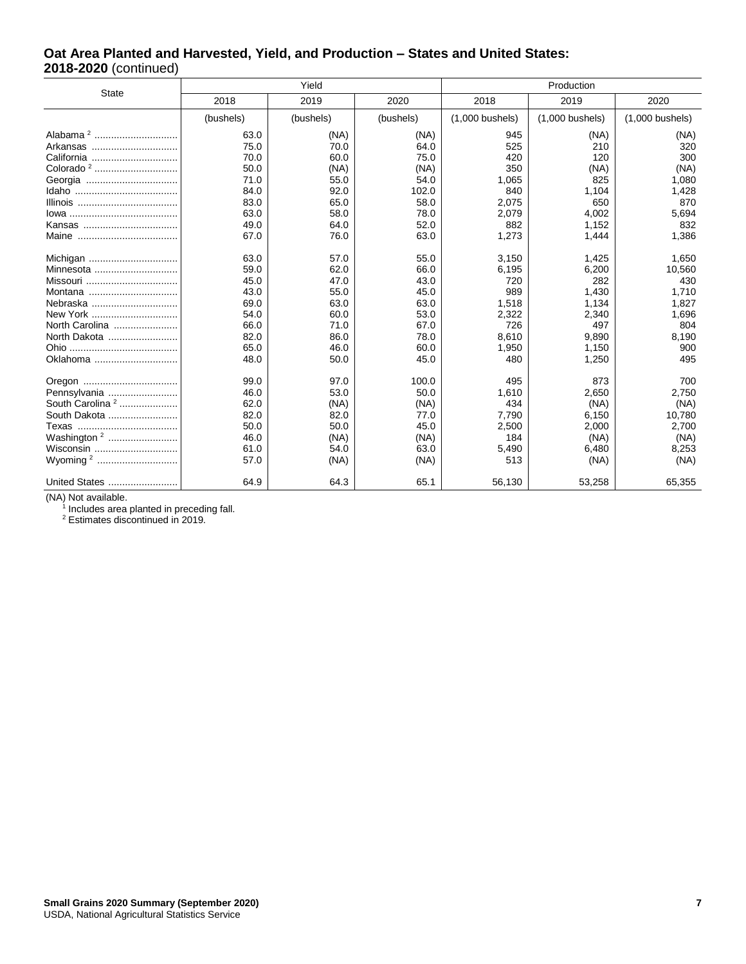#### **Oat Area Planted and Harvested, Yield, and Production – States and United States: 2018-2020** (continued)

|                             |           | Yield     |           |                   | Production        |                   |
|-----------------------------|-----------|-----------|-----------|-------------------|-------------------|-------------------|
| <b>State</b>                | 2018      | 2019      | 2020      | 2018              | 2019              | 2020              |
|                             | (bushels) | (bushels) | (bushels) | $(1,000$ bushels) | $(1,000$ bushels) | $(1,000$ bushels) |
| Alabama <sup>2</sup>        | 63.0      | (NA)      | (NA)      | 945               | (NA)              | (NA)              |
| Arkansas                    | 75.0      | 70.0      | 64.0      | 525               | 210               | 320               |
| California                  | 70.0      | 60.0      | 75.0      | 420               | 120               | 300               |
| Colorado <sup>2</sup>       | 50.0      | (NA)      | (NA)      | 350               | (NA)              | (NA)              |
| Georgia                     | 71.0      | 55.0      | 54.0      | 1,065             | 825               | 1,080             |
|                             | 84.0      | 92.0      | 102.0     | 840               | 1,104             | 1,428             |
|                             | 83.0      | 65.0      | 58.0      | 2,075             | 650               | 870               |
|                             | 63.0      | 58.0      | 78.0      | 2,079             | 4.002             | 5,694             |
|                             | 49.0      | 64.0      | 52.0      | 882               | 1,152             | 832               |
|                             | 67.0      | 76.0      | 63.0      | 1,273             | 1,444             | 1,386             |
| Michigan                    | 63.0      | 57.0      | 55.0      | 3,150             | 1,425             | 1,650             |
| Minnesota                   | 59.0      | 62.0      | 66.0      | 6,195             | 6,200             | 10,560            |
| Missouri                    | 45.0      | 47.0      | 43.0      | 720               | 282               | 430               |
| Montana                     | 43.0      | 55.0      | 45.0      | 989               | 1,430             | 1,710             |
| Nebraska                    | 69.0      | 63.0      | 63.0      | 1,518             | 1,134             | 1,827             |
| New York                    | 54.0      | 60.0      | 53.0      | 2,322             | 2,340             | 1,696             |
| North Carolina              | 66.0      | 71.0      | 67.0      | 726               | 497               | 804               |
| North Dakota                | 82.0      | 86.0      | 78.0      | 8,610             | 9,890             | 8,190             |
|                             | 65.0      | 46.0      | 60.0      | 1,950             | 1,150             | 900               |
| Oklahoma                    | 48.0      | 50.0      | 45.0      | 480               | 1,250             | 495               |
|                             | 99.0      | 97.0      | 100.0     | 495               | 873               | 700               |
| Pennsylvania                | 46.0      | 53.0      | 50.0      | 1,610             | 2,650             | 2,750             |
| South Carolina <sup>2</sup> | 62.0      | (NA)      | (NA)      | 434               | (NA)              | (NA)              |
| South Dakota                | 82.0      | 82.0      | 77.0      | 7,790             | 6,150             | 10,780            |
|                             | 50.0      | 50.0      | 45.0      | 2,500             | 2,000             | 2,700             |
| Washington <sup>2</sup>     | 46.0      | (NA)      | (NA)      | 184               | (NA)              | (NA)              |
| Wisconsin                   | 61.0      | 54.0      | 63.0      | 5,490             | 6,480             | 8,253             |
| Wyoming <sup>2</sup>        | 57.0      | (NA)      | (NA)      | 513               | (NA)              | (NA)              |
| United States               | 64.9      | 64.3      | 65.1      | 56,130            | 53,258            | 65,355            |

(NA) Not available. 1 Includes area planted in preceding fall.

<sup>2</sup> Estimates discontinued in 2019.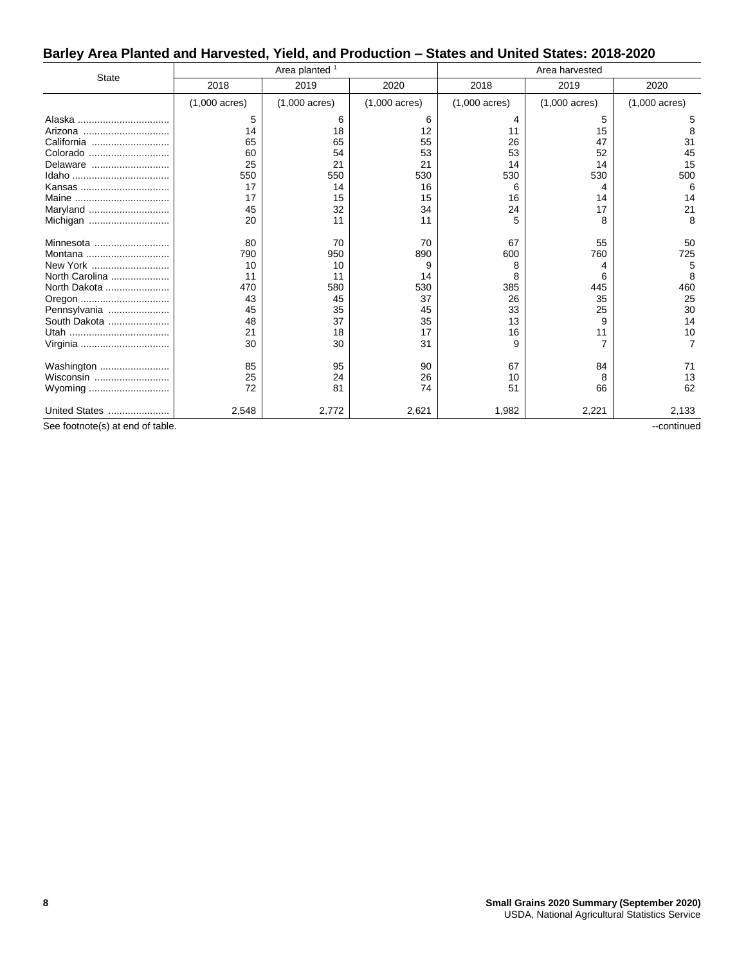# **Barley Area Planted and Harvested, Yield, and Production – States and United States: 2018-2020**

|                                                 |                         | Area planted <sup>1</sup> |                         | Area harvested          |                         |                         |
|-------------------------------------------------|-------------------------|---------------------------|-------------------------|-------------------------|-------------------------|-------------------------|
| <b>State</b>                                    | 2018                    | 2019                      | 2020                    | 2018                    | 2019                    | 2020                    |
|                                                 | $(1,000 \text{ acres})$ | $(1,000 \text{ acres})$   | $(1,000 \text{ acres})$ | $(1,000 \text{ acres})$ | $(1,000 \text{ acres})$ | $(1,000 \text{ acres})$ |
| Alaska                                          | 5                       | 6                         | 6                       |                         | 5                       |                         |
| Arizona                                         | 14                      | 18                        | 12                      | 11                      | 15                      |                         |
|                                                 | 65                      | 65                        | 55                      | 26                      | 47                      | 31                      |
|                                                 | 60                      | 54                        | 53                      | 53                      | 52                      | 45                      |
| Delaware                                        | 25                      | 21                        | 21                      | 14                      | 14                      | 15                      |
|                                                 | 550                     | 550                       | 530                     | 530                     | 530                     | 500                     |
|                                                 | 17                      | 14                        | 16                      | 6                       |                         | 6                       |
|                                                 | 17                      | 15                        | 15                      | 16                      | 14                      | 14                      |
| Maryland                                        | 45                      | 32                        | 34                      | 24                      | 17                      | 21                      |
| Michigan                                        | 20                      | 11                        | 11                      | 5                       | 8                       | 8                       |
| Minnesota                                       | 80                      | 70                        | 70                      | 67                      | 55                      | 50                      |
| Montana                                         | 790                     | 950                       | 890                     | 600                     | 760                     | 725                     |
| New York                                        | 10                      | 10                        |                         | 8                       |                         | 5                       |
| North Carolina                                  | 11                      | 11                        | 14                      | 8                       | 6                       | 8                       |
| North Dakota                                    | 470                     | 580                       | 530                     | 385                     | 445                     | 460                     |
| Oregon                                          | 43                      | 45                        | 37                      | 26                      | 35                      | 25                      |
| Pennsylvania                                    | 45                      | 35                        | 45                      | 33                      | 25                      | 30                      |
| South Dakota                                    | 48                      | 37                        | 35                      | 13                      | 9                       | 14                      |
|                                                 | 21                      | 18                        | 17                      | 16                      | 11                      | 10                      |
| Virginia                                        | 30                      | 30                        | 31                      | 9                       | 7                       | 7                       |
| Washington                                      | 85                      | 95                        | 90                      | 67                      | 84                      | 71                      |
| Wisconsin                                       | 25                      | 24                        | 26                      | 10                      | 8                       | 13                      |
| Wyoming                                         | 72                      | 81                        | 74                      | 51                      | 66                      | 62                      |
| United States                                   | 2,548                   | 2,772                     | 2,621                   | 1,982                   | 2,221                   | 2,133                   |
| --continued<br>See footnote(s) at end of table. |                         |                           |                         |                         |                         |                         |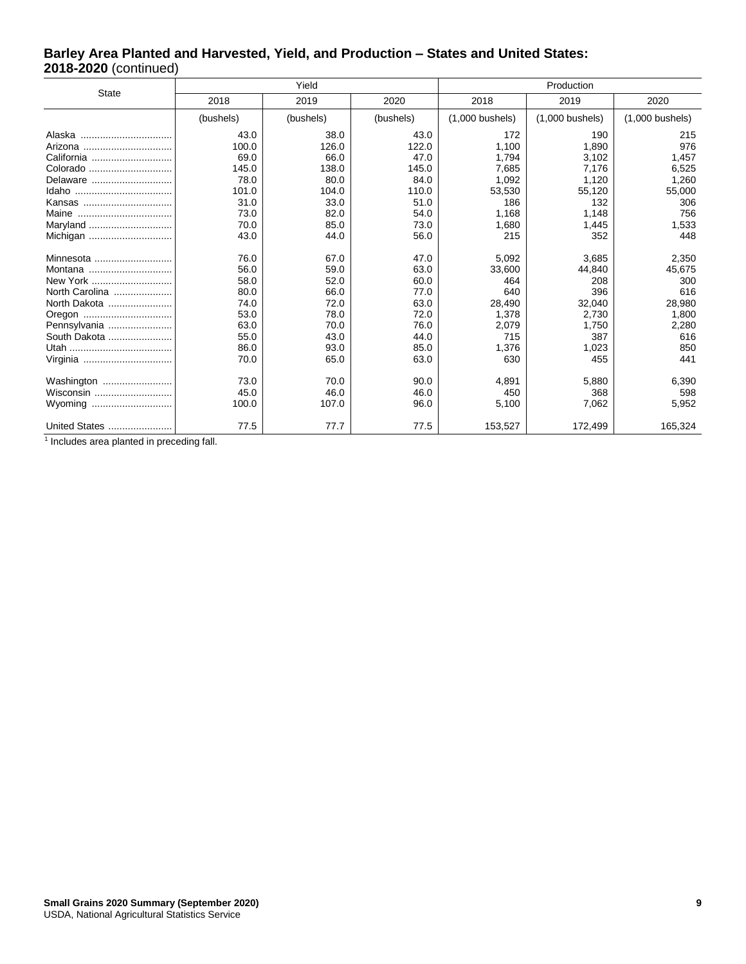# **Barley Area Planted and Harvested, Yield, and Production – States and United States: 2018-2020** (continued)

|                |           | Yield     |           |                   | Production        |                   |
|----------------|-----------|-----------|-----------|-------------------|-------------------|-------------------|
| <b>State</b>   | 2018      | 2019      | 2020      | 2018              | 2019              | 2020              |
|                | (bushels) | (bushels) | (bushels) | $(1,000$ bushels) | $(1,000$ bushels) | $(1,000$ bushels) |
| Alaska         | 43.0      | 38.0      | 43.0      | 172               | 190               | 215               |
| Arizona        | 100.0     | 126.0     | 122.0     | 1,100             | 1.890             | 976               |
| California     | 69.0      | 66.0      | 47.0      | 1,794             | 3,102             | 1,457             |
| Colorado       | 145.0     | 138.0     | 145.0     | 7,685             | 7,176             | 6,525             |
| Delaware       | 78.0      | 80.0      | 84.0      | 1,092             | 1,120             | 1,260             |
|                | 101.0     | 104.0     | 110.0     | 53,530            | 55,120            | 55,000            |
| Kansas         | 31.0      | 33.0      | 51.0      | 186               | 132               | 306               |
| Maine          | 73.0      | 82.0      | 54.0      | 1,168             | 1,148             | 756               |
| Maryland       | 70.0      | 85.0      | 73.0      | 1,680             | 1,445             | 1,533             |
| Michigan       | 43.0      | 44.0      | 56.0      | 215               | 352               | 448               |
|                |           |           |           |                   |                   |                   |
| Minnesota      | 76.0      | 67.0      | 47.0      | 5,092             | 3,685             | 2,350             |
| Montana        | 56.0      | 59.0      | 63.0      | 33,600            | 44.840            | 45,675            |
| New York       | 58.0      | 52.0      | 60.0      | 464               | 208               | 300               |
| North Carolina | 80.0      | 66.0      | 77.0      | 640               | 396               | 616               |
| North Dakota   | 74.0      | 72.0      | 63.0      | 28,490            | 32,040            | 28,980            |
| Oregon         | 53.0      | 78.0      | 72.0      | 1,378             | 2,730             | 1,800             |
| Pennsylvania   | 63.0      | 70.0      | 76.0      | 2,079             | 1,750             | 2,280             |
| South Dakota   | 55.0      | 43.0      | 44.0      | 715               | 387               | 616               |
|                | 86.0      | 93.0      | 85.0      | 1,376             | 1,023             | 850               |
| Virginia       | 70.0      | 65.0      | 63.0      | 630               | 455               | 441               |
|                |           |           |           |                   |                   |                   |
| Washington     | 73.0      | 70.0      | 90.0      | 4,891             | 5,880             | 6,390             |
| Wisconsin      | 45.0      | 46.0      | 46.0      | 450               | 368               | 598               |
| Wyoming        | 100.0     | 107.0     | 96.0      | 5,100             | 7,062             | 5,952             |
|                |           |           |           |                   |                   |                   |
| United States  | 77.5      | 77.7      | 77.5      | 153,527           | 172,499           | 165,324           |

<sup>1</sup> Includes area planted in preceding fall.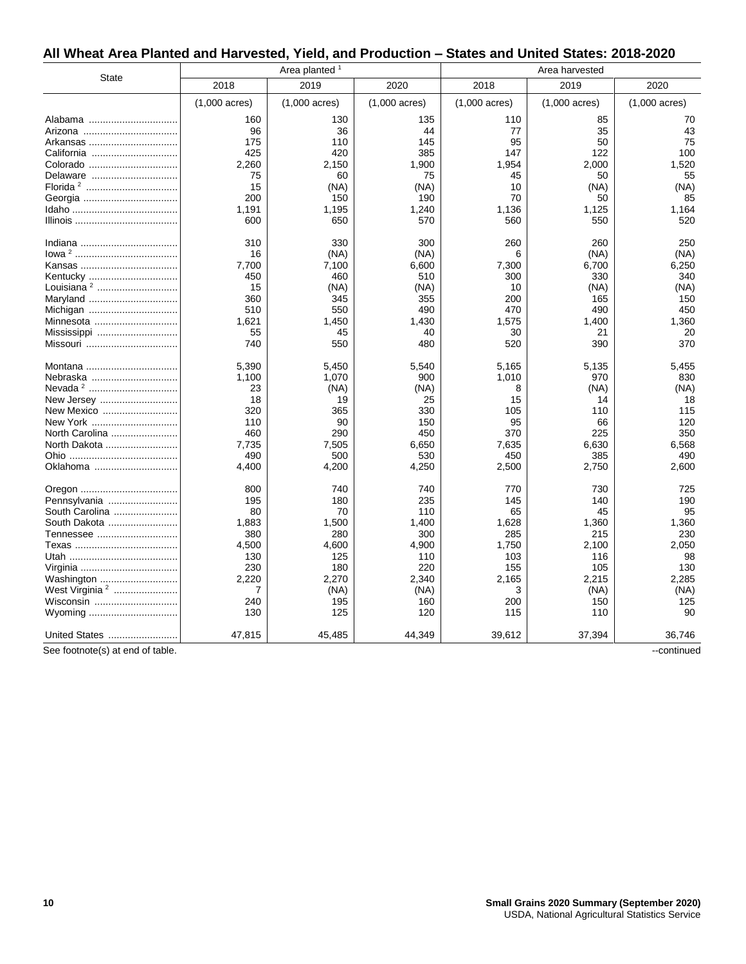# **All Wheat Area Planted and Harvested, Yield, and Production – States and United States: 2018-2020**

|                                  | Area planted <sup>1</sup> |                         | Area harvested          |                         |                         |                         |
|----------------------------------|---------------------------|-------------------------|-------------------------|-------------------------|-------------------------|-------------------------|
| <b>State</b>                     | 2018                      | 2019                    | 2020                    | 2018                    | 2019                    | 2020                    |
|                                  | $(1,000 \text{ acres})$   | $(1,000 \text{ acres})$ | $(1,000 \text{ acres})$ | $(1,000 \text{ acres})$ | $(1,000 \text{ acres})$ | $(1,000 \text{ acres})$ |
| Alabama                          | 160                       | 130                     | 135                     | 110                     | 85                      | 70                      |
| Arizona                          | 96                        | 36                      | 44                      | 77                      | 35                      | 43                      |
|                                  | 175                       | 110                     | 145                     | 95                      | 50                      | 75                      |
| California                       | 425                       | 420                     | 385                     | 147                     | 122                     | 100                     |
| Colorado                         | 2,260                     | 2,150                   | 1,900                   | 1,954                   | 2,000                   | 1,520                   |
| Delaware                         | 75                        | 60                      | 75                      | 45                      | 50                      | 55                      |
| Florida <sup>2</sup>             | 15                        | (NA)                    | (NA)                    | 10                      | (NA)                    | (NA)                    |
|                                  | 200                       | 150                     | 190                     | 70                      | 50                      | 85                      |
|                                  | 1,191                     | 1,195                   | 1,240                   | 1,136                   | 1,125                   | 1,164                   |
|                                  | 600                       | 650                     | 570                     | 560                     | 550                     | 520                     |
|                                  | 310                       | 330                     | 300                     | 260                     | 260                     | 250                     |
|                                  | 16                        | (NA)                    | (NA)                    | 6                       | (NA)                    | (NA)                    |
|                                  | 7,700                     | 7,100                   | 6,600                   | 7,300                   | 6,700                   | 6,250                   |
| Kentucky                         | 450                       | 460                     | 510                     | 300                     | 330                     | 340                     |
| Louisiana <sup>2</sup>           | 15                        | (NA)                    | (NA)                    | 10                      | (NA)                    | (NA)                    |
| Maryland                         | 360                       | 345                     | 355                     | 200                     | 165                     | 150                     |
| Michigan                         | 510                       | 550                     | 490                     | 470                     | 490                     | 450                     |
| Minnesota                        | 1.621                     | 1,450                   | 1,430                   | 1,575                   | 1,400                   | 1.360                   |
|                                  | 55                        | 45                      | 40                      | 30                      | 21                      | 20                      |
| Missouri                         | 740                       | 550                     | 480                     | 520                     | 390                     | 370                     |
|                                  |                           |                         |                         |                         |                         |                         |
|                                  | 5,390                     | 5,450                   | 5,540                   | 5,165                   | 5,135                   | 5,455                   |
| Nebraska                         | 1,100                     | 1,070                   | 900                     | 1,010                   | 970                     | 830                     |
| Nevada <sup>2</sup>              | 23                        | (NA)                    | (NA)                    | 8                       | (NA)                    | (NA)                    |
| New Jersey                       | 18                        | 19                      | 25                      | 15                      | 14                      | 18                      |
| New Mexico                       | 320                       | 365                     | 330                     | 105                     | 110                     | 115                     |
| New York                         | 110                       | 90                      | 150                     | 95                      | 66                      | 120                     |
| North Carolina                   | 460                       | 290                     | 450                     | 370                     | 225                     | 350                     |
| North Dakota                     | 7,735                     | 7,505                   | 6,650                   | 7,635                   | 6,630                   | 6,568                   |
|                                  | 490                       | 500                     | 530                     | 450                     | 385                     | 490                     |
| Oklahoma                         | 4,400                     | 4,200                   | 4,250                   | 2,500                   | 2,750                   | 2,600                   |
|                                  | 800                       | 740                     | 740                     | 770                     | 730                     | 725                     |
| Pennsylvania                     | 195                       | 180                     | 235                     | 145                     | 140                     | 190                     |
| South Carolina                   | 80                        | 70                      | 110                     | 65                      | 45                      | 95                      |
| South Dakota                     | 1.883                     | 1,500                   | 1,400                   | 1,628                   | 1,360                   | 1.360                   |
|                                  | 380                       | 280                     | 300                     | 285                     | 215                     | 230                     |
|                                  | 4,500                     | 4,600                   | 4,900                   | 1,750                   | 2,100                   | 2,050                   |
|                                  | 130                       | 125                     | 110                     | 103                     | 116                     | 98                      |
|                                  | 230                       | 180                     | 220                     | 155                     | 105                     | 130                     |
| Washington                       | 2.220                     | 2,270                   | 2,340                   | 2,165                   | 2,215                   | 2.285                   |
| West Virginia <sup>2</sup>       | 7                         | (NA)                    | (NA)                    | 3                       | (NA)                    | (NA)                    |
| Wisconsin                        | 240                       | 195                     | 160                     | 200                     | 150                     | 125                     |
| Wyoming                          | 130                       | 125                     | 120                     | 115                     | 110                     | 90                      |
| United States                    | 47,815                    | 45,485                  | 44,349                  | 39,612                  | 37,394                  | 36,746                  |
| See footnote(s) at end of table. |                           |                         |                         |                         |                         | --continued             |
|                                  |                           |                         |                         |                         |                         |                         |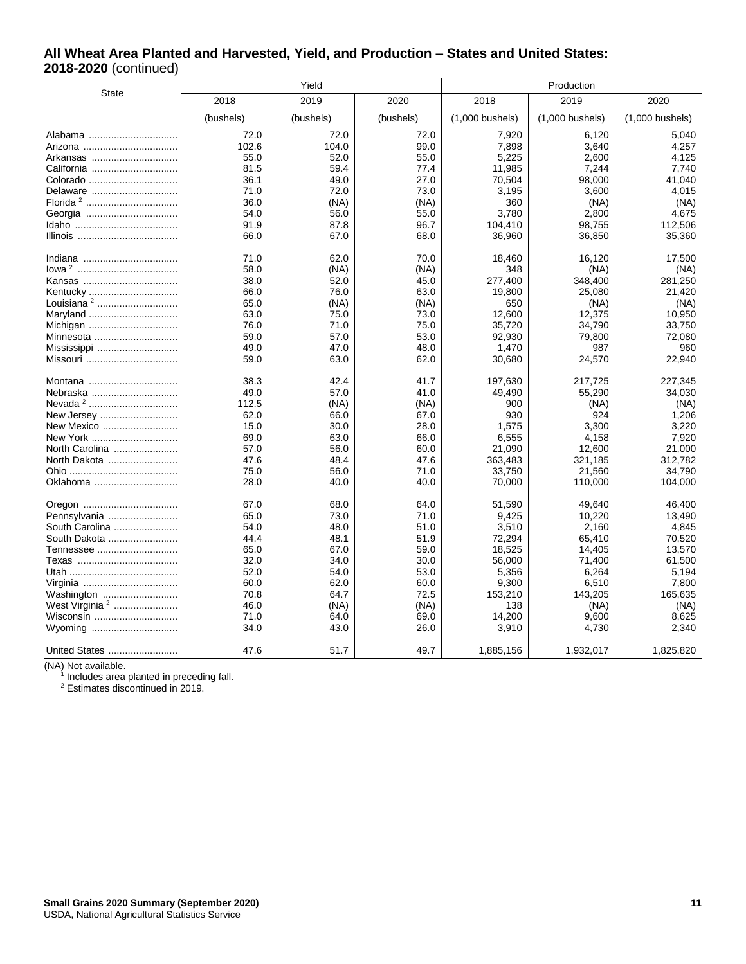# **All Wheat Area Planted and Harvested, Yield, and Production – States and United States: 2018-2020** (continued)

|                            |           | Yield     |           | Production        |                   |                   |
|----------------------------|-----------|-----------|-----------|-------------------|-------------------|-------------------|
| <b>State</b>               | 2018      | 2019      | 2020      | 2018              | 2019              | 2020              |
|                            | (bushels) | (bushels) | (bushels) | $(1,000$ bushels) | $(1,000$ bushels) | $(1,000$ bushels) |
| Alabama                    | 72.0      | 72.0      | 72.0      | 7,920             | 6,120             | 5,040             |
| Arizona                    | 102.6     | 104.0     | 99.0      | 7,898             | 3,640             | 4,257             |
| Arkansas                   | 55.0      | 52.0      | 55.0      | 5,225             | 2,600             | 4,125             |
| California                 | 81.5      | 59.4      | 77.4      | 11,985            | 7,244             | 7,740             |
| Colorado                   | 36.1      | 49.0      | 27.0      | 70,504            | 98,000            | 41,040            |
| Delaware                   | 71.0      | 72.0      | 73.0      | 3,195             | 3,600             | 4,015             |
|                            | 36.0      | (NA)      | (NA)      | 360               | (NA)              | (NA)              |
| Georgia                    | 54.0      | 56.0      | 55.0      | 3,780             | 2,800             | 4,675             |
|                            | 91.9      | 87.8      | 96.7      | 104,410           | 98,755            | 112,506           |
|                            | 66.0      | 67.0      | 68.0      | 36,960            | 36,850            | 35,360            |
|                            | 71.0      | 62.0      | 70.0      | 18,460            | 16,120            | 17,500            |
|                            | 58.0      | (NA)      | (NA)      | 348               | (NA)              | (NA)              |
|                            | 38.0      | 52.0      | 45.0      | 277,400           | 348,400           | 281,250           |
| Kentucky                   | 66.0      | 76.0      | 63.0      | 19,800            | 25,080            | 21,420            |
| Louisiana <sup>2</sup>     | 65.0      | (NA)      | (NA)      | 650               | (NA)              | (NA)              |
| Maryland                   | 63.0      | 75.0      | 73.0      | 12,600            | 12,375            | 10,950            |
| Michigan                   | 76.0      | 71.0      | 75.0      | 35,720            | 34,790            | 33,750            |
| Minnesota                  | 59.0      | 57.0      | 53.0      | 92,930            | 79,800            | 72,080            |
|                            | 49.0      | 47.0      | 48.0      | 1,470             | 987               | 960               |
| Missouri                   | 59.0      | 63.0      | 62.0      | 30,680            | 24,570            | 22,940            |
|                            |           |           |           |                   |                   |                   |
| Montana                    | 38.3      | 42.4      | 41.7      | 197,630           | 217,725           | 227,345           |
| Nebraska                   | 49.0      | 57.0      | 41.0      | 49,490            | 55,290            | 34,030            |
|                            | 112.5     | (NA)      | (NA)      | 900               | (NA)              | (NA)              |
| New Jersey                 | 62.0      | 66.0      | 67.0      | 930               | 924               | 1,206             |
| New Mexico                 | 15.0      | 30.0      | 28.0      | 1,575             | 3,300             | 3,220             |
| New York                   | 69.0      | 63.0      | 66.0      | 6,555             | 4,158             | 7,920             |
| North Carolina             | 57.0      | 56.0      | 60.0      | 21,090            | 12,600            | 21,000            |
| North Dakota               | 47.6      | 48.4      | 47.6      | 363,483           | 321,185           | 312,782           |
|                            | 75.0      | 56.0      | 71.0      | 33,750            | 21,560            | 34,790            |
| Oklahoma                   | 28.0      | 40.0      | 40.0      | 70,000            | 110,000           | 104,000           |
|                            | 67.0      | 68.0      | 64.0      | 51,590            | 49.640            | 46,400            |
| Pennsylvania               | 65.0      | 73.0      | 71.0      | 9,425             | 10,220            | 13,490            |
| South Carolina             | 54.0      | 48.0      | 51.0      | 3,510             | 2,160             | 4,845             |
| South Dakota               | 44.4      | 48.1      | 51.9      | 72,294            | 65,410            | 70,520            |
| Tennessee                  | 65.0      | 67.0      | 59.0      | 18,525            | 14,405            | 13,570            |
|                            | 32.0      | 34.0      | 30.0      | 56,000            | 71,400            | 61,500            |
|                            | 52.0      | 54.0      | 53.0      | 5,356             | 6.264             | 5.194             |
|                            | 60.0      | 62.0      | 60.0      | 9,300             | 6,510             | 7,800             |
| Washington                 | 70.8      | 64.7      | 72.5      | 153,210           | 143,205           | 165,635           |
| West Virginia <sup>2</sup> | 46.0      | (NA)      | (NA)      | 138               | (NA)              | (NA)              |
| Wisconsin                  | 71.0      | 64.0      | 69.0      | 14,200            | 9,600             | 8,625             |
| Wyoming                    | 34.0      | 43.0      | 26.0      | 3,910             | 4,730             | 2,340             |
| United States              | 47.6      | 51.7      | 49.7      | 1,885,156         | 1,932,017         | 1,825,820         |

(NA) Not available. 1 Includes area planted in preceding fall.

<sup>2</sup> Estimates discontinued in 2019.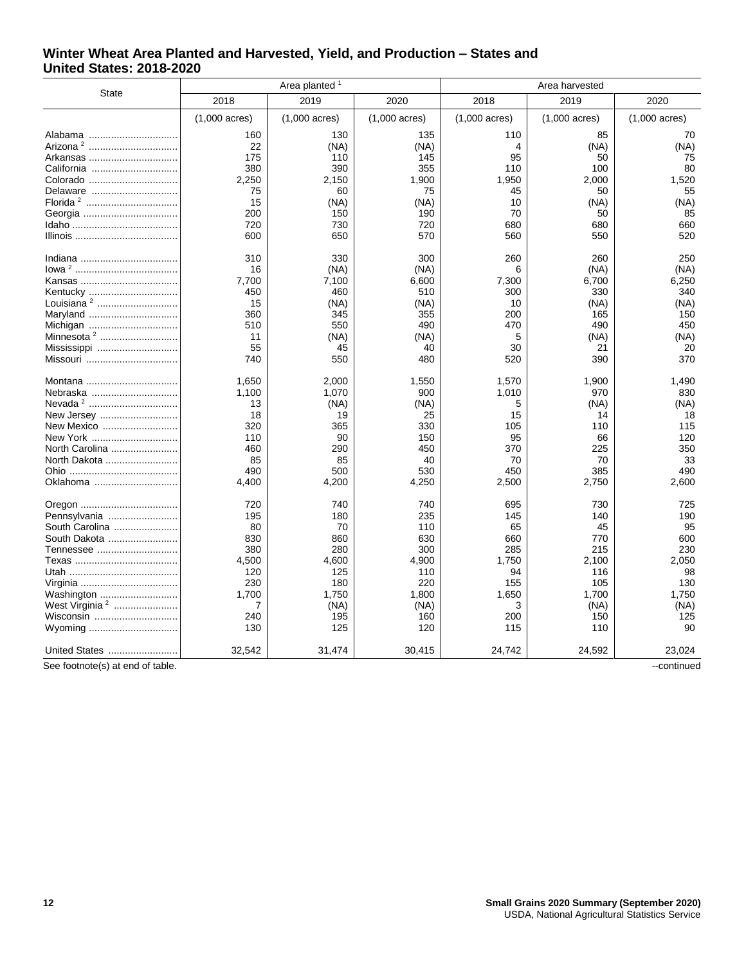# **Winter Wheat Area Planted and Harvested, Yield, and Production – States and United States: 2018-2020**

|                                                 |                         | Area planted <sup>1</sup> | Area harvested          |                         |                         |                         |  |
|-------------------------------------------------|-------------------------|---------------------------|-------------------------|-------------------------|-------------------------|-------------------------|--|
| State                                           | 2018                    | 2019                      | 2020                    | 2018                    | 2019                    | 2020                    |  |
|                                                 | $(1,000 \text{ acres})$ | $(1,000 \text{ acres})$   | $(1,000 \text{ acres})$ | $(1,000 \text{ acres})$ | $(1,000 \text{ acres})$ | $(1,000 \text{ acres})$ |  |
| Alabama                                         | 160                     | 130                       | 135                     | 110                     | 85                      | 70                      |  |
| Arizona <sup>2</sup>                            | 22                      | (NA)                      | (NA)                    | 4                       | (NA)                    | (NA)                    |  |
| Arkansas                                        | 175                     | 110                       | 145                     | 95                      | 50                      | 75                      |  |
| California                                      | 380                     | 390                       | 355                     | 110                     | 100                     | 80                      |  |
| Colorado                                        | 2,250                   | 2,150                     | 1,900                   | 1,950                   | 2,000                   | 1,520                   |  |
| Delaware                                        | 75                      | 60                        | 75                      | 45                      | 50                      | 55                      |  |
|                                                 | 15                      | (NA)                      | (NA)                    | 10                      | (NA)                    | (NA)                    |  |
|                                                 | 200                     | 150                       | 190                     | 70                      | 50                      | 85                      |  |
|                                                 | 720                     | 730                       | 720                     | 680                     | 680                     | 660                     |  |
|                                                 | 600                     | 650                       | 570                     | 560                     | 550                     | 520                     |  |
|                                                 | 310                     | 330                       | 300                     | 260                     | 260                     | 250                     |  |
|                                                 | 16                      | (NA)                      | (NA)                    | 6                       | (NA)                    | (NA)                    |  |
|                                                 | 7,700                   | 7,100                     | 6,600                   | 7,300                   | 6,700                   | 6,250                   |  |
| Kentucky                                        | 450                     | 460                       | 510                     | 300                     | 330                     | 340                     |  |
| Louisiana <sup>2</sup>                          | 15                      | (NA)                      | (NA)                    | 10                      | (NA)                    | (NA)                    |  |
| Maryland                                        | 360                     | 345                       | 355                     | 200                     | 165                     | 150                     |  |
| Michigan                                        | 510                     | 550                       | 490                     | 470                     | 490                     | 450                     |  |
|                                                 | 11                      | (NA)                      | (NA)                    | 5                       | (NA)                    | (NA)                    |  |
|                                                 | 55                      | 45                        | 40                      | 30                      | 21                      | 20                      |  |
| Missouri                                        | 740                     | 550                       | 480                     | 520                     | 390                     | 370                     |  |
|                                                 | 1,650                   | 2,000                     | 1,550                   | 1,570                   | 1,900                   | 1,490                   |  |
| Nebraska                                        | 1,100                   | 1,070                     | 900                     | 1,010                   | 970                     | 830                     |  |
| Nevada <sup>2</sup>                             | 13                      | (NA)                      | (NA)                    | 5                       | (NA)                    | (NA)                    |  |
| New Jersey                                      | 18                      | 19                        | 25                      | 15                      | 14                      | 18                      |  |
| New Mexico                                      | 320                     | 365                       | 330                     | 105                     | 110                     | 115                     |  |
| New York                                        | 110                     | 90                        | 150                     | 95                      | 66                      | 120                     |  |
| North Carolina                                  | 460                     | 290                       | 450                     | 370                     | 225                     | 350                     |  |
| North Dakota                                    | 85                      | 85                        | 40                      | 70                      | 70                      | 33                      |  |
|                                                 | 490                     | 500                       | 530                     | 450                     | 385                     | 490                     |  |
| Oklahoma                                        | 4,400                   | 4,200                     | 4,250                   | 2,500                   | 2,750                   | 2,600                   |  |
|                                                 | 720                     | 740                       | 740                     | 695                     | 730                     | 725                     |  |
| Pennsylvania                                    | 195                     | 180                       | 235                     | 145                     | 140                     | 190                     |  |
| South Carolina                                  | 80                      | 70                        | 110                     | 65                      | 45                      | 95                      |  |
| South Dakota                                    | 830                     | 860                       | 630                     | 660                     | 770                     | 600                     |  |
| Tennessee                                       | 380                     | 280                       | 300                     | 285                     | 215                     | 230                     |  |
|                                                 | 4.500                   | 4.600                     | 4,900                   | 1,750                   | 2,100                   | 2,050                   |  |
|                                                 | 120                     | 125                       | 110                     | 94                      | 116                     | 98                      |  |
|                                                 | 230                     | 180                       | 220                     | 155                     | 105                     | 130                     |  |
| Washington                                      | 1.700                   | 1,750                     | 1,800                   | 1,650                   | 1,700                   | 1.750                   |  |
| West Virginia <sup>2</sup>                      | 7                       | (NA)                      | (NA)                    | 3                       | (NA)                    | (NA)                    |  |
| Wisconsin                                       | 240                     | 195                       | 160                     | 200                     | 150                     | 125                     |  |
| Wyoming                                         | 130                     | 125                       | 120                     | 115                     | 110                     | 90                      |  |
| United States                                   | 32,542                  | 31,474                    | 30,415                  | 24,742                  | 24,592                  | 23,024                  |  |
| See footnote(s) at end of table.<br>--continued |                         |                           |                         |                         |                         |                         |  |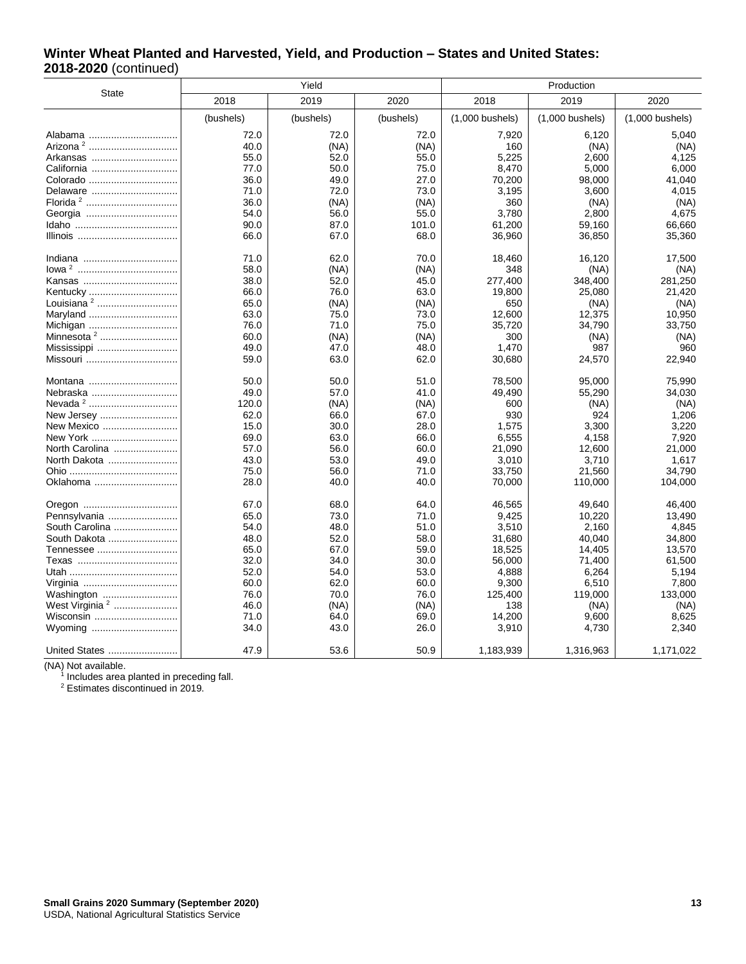# **Winter Wheat Planted and Harvested, Yield, and Production – States and United States: 2018-2020** (continued)

|                            |           | Yield     |           | Production        |                   |                   |
|----------------------------|-----------|-----------|-----------|-------------------|-------------------|-------------------|
| <b>State</b>               | 2018      | 2019      | 2020      | 2018              | 2019              | 2020              |
|                            | (bushels) | (bushels) | (bushels) | $(1,000$ bushels) | $(1,000$ bushels) | $(1,000$ bushels) |
| Alabama                    | 72.0      | 72.0      | 72.0      | 7,920             | 6,120             | 5,040             |
| Arizona <sup>2</sup>       | 40.0      | (NA)      | (NA)      | 160               | (NA)              | (NA)              |
| Arkansas                   | 55.0      | 52.0      | 55.0      | 5,225             | 2,600             | 4,125             |
| California                 | 77.0      | 50.0      | 75.0      | 8,470             | 5,000             | 6,000             |
| Colorado                   | 36.0      | 49.0      | 27.0      | 70,200            | 98,000            | 41,040            |
| Delaware                   | 71.0      | 72.0      | 73.0      | 3,195             | 3,600             | 4,015             |
|                            | 36.0      | (NA)      | (NA)      | 360               | (NA)              | (NA)              |
| Georgia                    | 54.0      | 56.0      | 55.0      | 3,780             | 2,800             | 4.675             |
|                            | 90.0      | 87.0      | 101.0     | 61,200            | 59,160            | 66,660            |
|                            | 66.0      | 67.0      | 68.0      | 36,960            | 36,850            | 35,360            |
| Indiana                    | 71.0      | 62.0      | 70.0      | 18,460            | 16,120            | 17,500            |
|                            | 58.0      | (NA)      | (NA)      | 348               | (NA)              | (NA)              |
|                            | 38.0      | 52.0      | 45.0      | 277,400           | 348,400           | 281,250           |
| Kentucky                   | 66.0      | 76.0      | 63.0      | 19,800            | 25,080            | 21,420            |
| Louisiana <sup>2</sup>     | 65.0      | (NA)      | (NA)      | 650               | (NA)              | (NA)              |
| Maryland                   | 63.0      | 75.0      | 73.0      | 12.600            | 12,375            | 10,950            |
| Michigan                   | 76.0      | 71.0      | 75.0      | 35,720            | 34,790            | 33,750            |
| Minnesota <sup>2</sup>     | 60.0      | (NA)      | (NA)      | 300               | (NA)              | (NA)              |
|                            | 49.0      | 47.0      | 48.0      | 1,470             | 987               | 960               |
| Missouri                   | 59.0      | 63.0      | 62.0      | 30,680            | 24,570            | 22,940            |
|                            |           |           |           |                   |                   |                   |
| Montana                    | 50.0      | 50.0      | 51.0      | 78,500            | 95,000            | 75,990            |
| Nebraska                   | 49.0      | 57.0      | 41.0      | 49,490            | 55,290            | 34,030            |
| Nevada <sup>2</sup>        | 120.0     | (NA)      | (NA)      | 600               | (NA)              | (NA)              |
| New Jersey                 | 62.0      | 66.0      | 67.0      | 930               | 924               | 1,206             |
| New Mexico                 | 15.0      | 30.0      | 28.0      | 1,575             | 3,300             | 3,220             |
| New York                   | 69.0      | 63.0      | 66.0      | 6,555             | 4,158             | 7,920             |
| North Carolina             | 57.0      | 56.0      | 60.0      | 21,090            | 12.600            | 21.000            |
| North Dakota               | 43.0      | 53.0      | 49.0      | 3,010             | 3,710             | 1,617             |
|                            | 75.0      | 56.0      | 71.0      | 33,750            | 21,560            | 34,790            |
| Oklahoma                   | 28.0      | 40.0      | 40.0      | 70,000            | 110,000           | 104,000           |
|                            | 67.0      | 68.0      | 64.0      | 46,565            | 49,640            | 46,400            |
| Pennsylvania               | 65.0      | 73.0      | 71.0      | 9,425             | 10,220            | 13,490            |
| South Carolina             | 54.0      | 48.0      | 51.0      | 3,510             | 2,160             | 4,845             |
| South Dakota               | 48.0      | 52.0      | 58.0      | 31,680            | 40.040            | 34,800            |
| Tennessee                  | 65.0      | 67.0      | 59.0      | 18,525            | 14,405            | 13,570            |
|                            | 32.0      | 34.0      | 30.0      | 56,000            | 71,400            | 61,500            |
|                            | 52.0      | 54.0      | 53.0      | 4,888             | 6,264             | 5,194             |
|                            | 60.0      | 62.0      | 60.0      | 9,300             | 6,510             | 7,800             |
| Washington                 | 76.0      | 70.0      | 76.0      | 125,400           | 119.000           | 133.000           |
| West Virginia <sup>2</sup> | 46.0      | (NA)      | (NA)      | 138               | (NA)              | (NA)              |
| Wisconsin                  | 71.0      | 64.0      | 69.0      | 14,200            | 9,600             | 8,625             |
| Wyoming                    | 34.0      | 43.0      | 26.0      | 3,910             | 4,730             | 2,340             |
| United States              | 47.9      | 53.6      | 50.9      | 1,183,939         | 1,316,963         | 1,171,022         |

(NA) Not available. 1 Includes area planted in preceding fall.

<sup>2</sup> Estimates discontinued in 2019.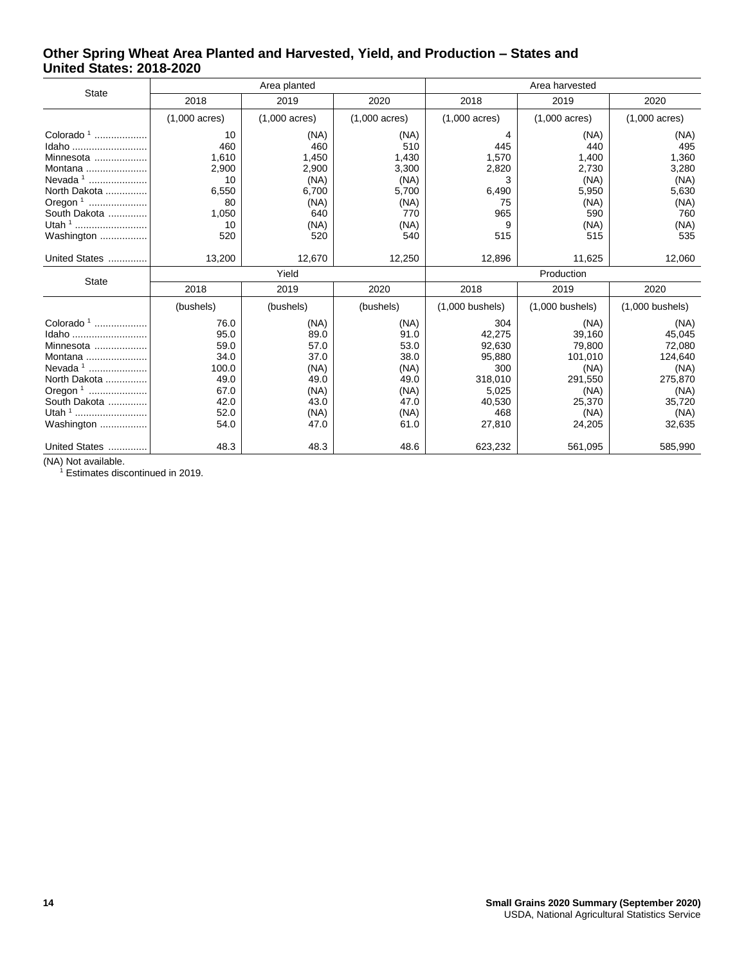#### **Other Spring Wheat Area Planted and Harvested, Yield, and Production – States and United States: 2018-2020**

| <b>State</b>                                                                                                                                                            |                                                                               | Area planted                                                                 |                                                                              |                                                                                         | Area harvested                                                                             |                                                                                            |  |
|-------------------------------------------------------------------------------------------------------------------------------------------------------------------------|-------------------------------------------------------------------------------|------------------------------------------------------------------------------|------------------------------------------------------------------------------|-----------------------------------------------------------------------------------------|--------------------------------------------------------------------------------------------|--------------------------------------------------------------------------------------------|--|
|                                                                                                                                                                         | 2018                                                                          | 2019                                                                         | 2020                                                                         | 2018                                                                                    | 2019                                                                                       | 2020                                                                                       |  |
|                                                                                                                                                                         | $(1,000 \text{ acres})$                                                       | $(1,000 \text{ acres})$                                                      | $(1,000 \text{ acres})$                                                      | $(1,000 \text{ acres})$                                                                 | $(1,000 \text{ acres})$                                                                    | $(1,000 \text{ acres})$                                                                    |  |
| Colorado <sup>1</sup><br>Idaho<br>Minnesota<br>Montana<br>Nevada <sup>1</sup><br>North Dakota<br>Oregon <sup>1</sup><br>South Dakota<br>Utah <sup>1</sup>               | 10<br>460<br>1,610<br>2,900<br>10<br>6,550<br>80<br>1,050<br>10               | (NA)<br>460<br>1,450<br>2,900<br>(NA)<br>6,700<br>(NA)<br>640<br>(NA)        | (NA)<br>510<br>1,430<br>3,300<br>(NA)<br>5,700<br>(NA)<br>770<br>(NA)        | 4<br>445<br>1,570<br>2,820<br>3<br>6,490<br>75<br>965<br>9                              | (NA)<br>440<br>1,400<br>2,730<br>(NA)<br>5,950<br>(NA)<br>590<br>(NA)                      | (NA)<br>495<br>1,360<br>3,280<br>(NA)<br>5,630<br>(NA)<br>760<br>(NA)                      |  |
| Washington                                                                                                                                                              | 520                                                                           | 520                                                                          | 540                                                                          | 515                                                                                     | 515                                                                                        | 535                                                                                        |  |
| United States                                                                                                                                                           | 13,200                                                                        | 12,670                                                                       | 12,250                                                                       | 12,896                                                                                  | 11,625                                                                                     | 12,060                                                                                     |  |
| <b>State</b>                                                                                                                                                            |                                                                               | Yield                                                                        |                                                                              | Production                                                                              |                                                                                            |                                                                                            |  |
|                                                                                                                                                                         | 2018                                                                          | 2019                                                                         | 2020                                                                         | 2018                                                                                    | 2019                                                                                       | 2020                                                                                       |  |
|                                                                                                                                                                         | (bushels)                                                                     | (bushels)                                                                    | (bushels)                                                                    | $(1,000$ bushels)                                                                       | $(1,000$ bushels)                                                                          | $(1,000$ bushels)                                                                          |  |
| Colorado <sup>1</sup><br>Idaho<br>Minnesota<br>Montana<br>Nevada <sup>1</sup><br>North Dakota<br>Oregon <sup>1</sup><br>South Dakota<br>Utah <sup>1</sup><br>Washington | 76.0<br>95.0<br>59.0<br>34.0<br>100.0<br>49.0<br>67.0<br>42.0<br>52.0<br>54.0 | (NA)<br>89.0<br>57.0<br>37.0<br>(NA)<br>49.0<br>(NA)<br>43.0<br>(NA)<br>47.0 | (NA)<br>91.0<br>53.0<br>38.0<br>(NA)<br>49.0<br>(NA)<br>47.0<br>(NA)<br>61.0 | 304<br>42,275<br>92,630<br>95,880<br>300<br>318,010<br>5,025<br>40,530<br>468<br>27,810 | (NA)<br>39,160<br>79,800<br>101,010<br>(NA)<br>291,550<br>(NA)<br>25,370<br>(NA)<br>24,205 | (NA)<br>45,045<br>72,080<br>124,640<br>(NA)<br>275,870<br>(NA)<br>35,720<br>(NA)<br>32,635 |  |
| United States                                                                                                                                                           | 48.3                                                                          | 48.3                                                                         | 48.6                                                                         | 623,232                                                                                 | 561,095                                                                                    | 585,990                                                                                    |  |

(NA) Not available.

<sup>1</sup> Estimates discontinued in 2019.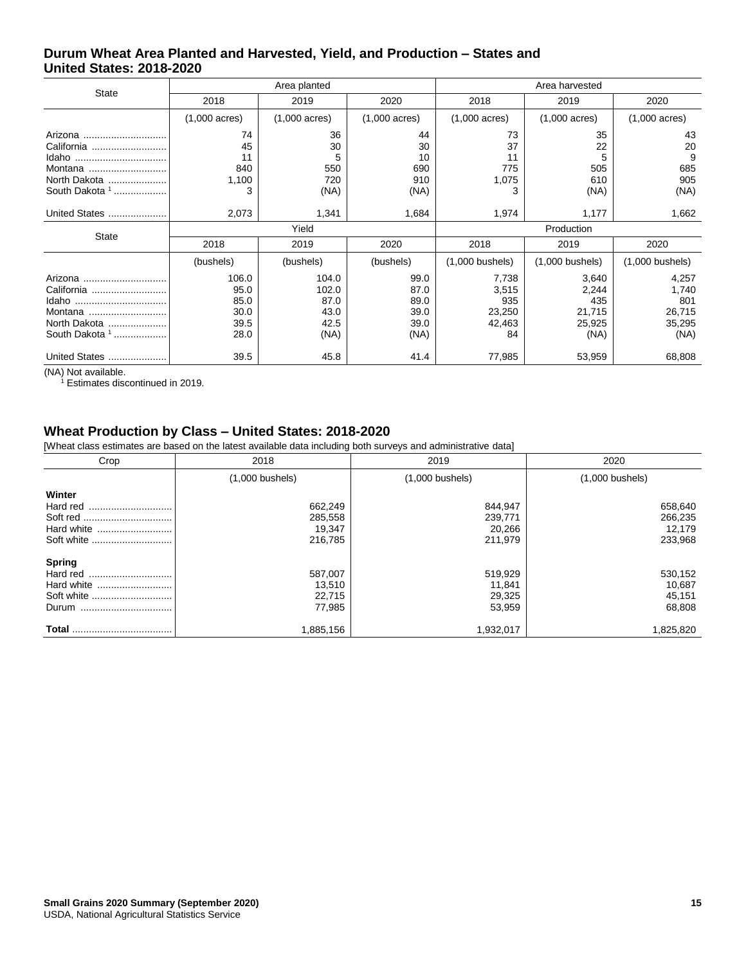# **Durum Wheat Area Planted and Harvested, Yield, and Production – States and United States: 2018-2020**

|                           |                         | Area planted            |                         | Area harvested          |                         |                         |
|---------------------------|-------------------------|-------------------------|-------------------------|-------------------------|-------------------------|-------------------------|
| <b>State</b>              | 2018                    | 2019                    | 2020                    | 2018                    | 2019                    | 2020                    |
|                           | $(1,000 \text{ acres})$ | $(1,000 \text{ acres})$ | $(1,000 \text{ acres})$ | $(1,000 \text{ acres})$ | $(1,000 \text{ acres})$ | $(1,000 \text{ acres})$ |
| Arizona                   | 74                      | 36                      | 44                      | 73                      | 35                      | 43                      |
| California                | 45                      | 30                      | 30                      | 37                      | 22                      | 20                      |
|                           | 11                      | 5                       | 10                      | 11                      | 5                       | 9                       |
| Montana                   | 840                     | 550                     | 690                     | 775                     | 505                     | 685                     |
| North Dakota              | 1,100                   | 720                     | 910                     | 1,075                   | 610                     | 905                     |
| South Dakota <sup>1</sup> | 3                       | (NA)                    | (NA)                    |                         | (NA)                    | (NA)                    |
| United States             | 2,073                   | 1,341                   | 1,684                   | 1,974                   | 1,177                   | 1,662                   |
|                           | Yield                   |                         |                         |                         | Production              |                         |
| <b>State</b>              | 2018                    | 2019                    | 2020                    | 2018                    | 2019                    | 2020                    |
|                           | (bushels)               | (bushels)               | (bushels)               | $(1,000$ bushels)       | $(1,000$ bushels)       | $(1,000$ bushels)       |
| Arizona                   | 106.0                   | 104.0                   | 99.0                    | 7,738                   | 3,640                   | 4,257                   |
| California                | 95.0                    | 102.0                   | 87.0                    | 3,515                   | 2,244                   | 1,740                   |
| Idaho                     | 85.0                    | 87.0                    | 89.0                    | 935                     | 435                     | 801                     |
| Montana                   | 30.0                    | 43.0                    | 39.0                    | 23,250                  | 21,715                  | 26,715                  |
| North Dakota              | 39.5                    | 42.5                    | 39.0                    | 42,463                  | 25,925                  | 35,295                  |
| South Dakota <sup>1</sup> | 28.0                    | (NA)                    | (NA)                    | 84                      | (NA)                    | (NA)                    |
| United States             | 39.5                    | 45.8                    | 41.4                    | 77,985                  | 53,959                  | 68,808                  |

(NA) Not available.

<sup>1</sup> Estimates discontinued in 2019.

# **Wheat Production by Class – United States: 2018-2020**

[Wheat class estimates are based on the latest available data including both surveys and administrative data]

| Crop                                                               | 2018                                    | 2019                                    | 2020                                    |
|--------------------------------------------------------------------|-----------------------------------------|-----------------------------------------|-----------------------------------------|
|                                                                    | $(1,000$ bushels)                       | $(1,000$ bushels)                       | $(1,000$ bushels)                       |
| Winter<br>Hard white<br>Soft white                                 | 662,249<br>285,558<br>19,347<br>216,785 | 844,947<br>239,771<br>20,266<br>211,979 | 658,640<br>266,235<br>12.179<br>233,968 |
| <b>Spring</b><br>Hard red<br>Hard white<br>Soft white<br>Durum<br> | 587,007<br>13,510<br>22,715<br>77,985   | 519,929<br>11.841<br>29,325<br>53,959   | 530,152<br>10,687<br>45,151<br>68,808   |
| Total<br>                                                          | 1,885,156                               | 1,932,017                               | 1,825,820                               |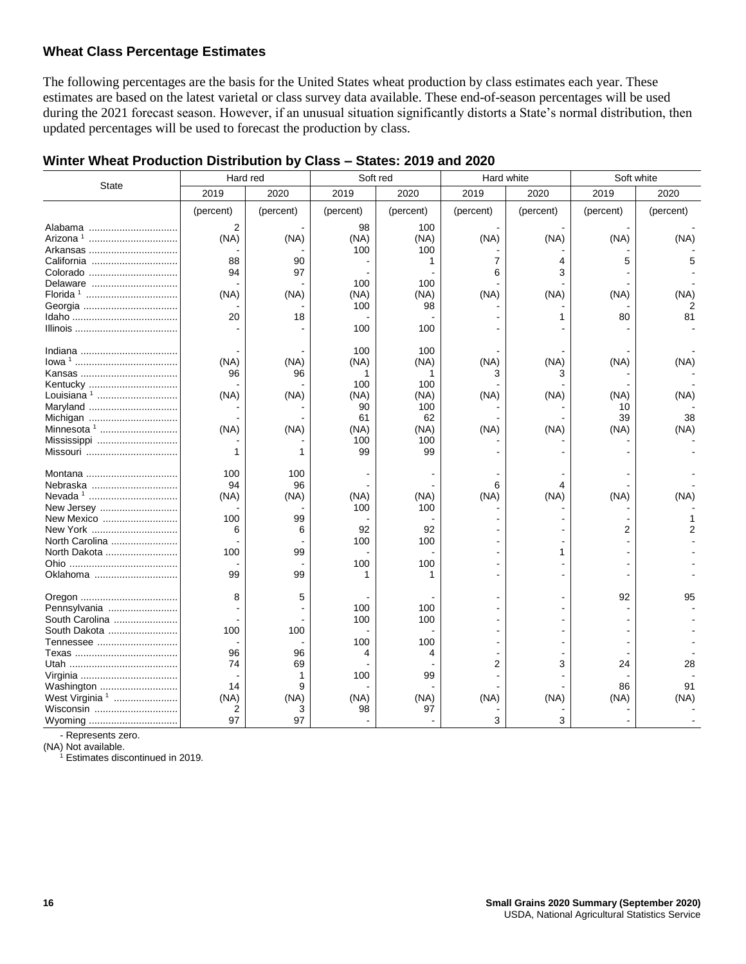#### **Wheat Class Percentage Estimates**

The following percentages are the basis for the United States wheat production by class estimates each year. These estimates are based on the latest varietal or class survey data available. These end-of-season percentages will be used during the 2021 forecast season. However, if an unusual situation significantly distorts a State's normal distribution, then updated percentages will be used to forecast the production by class.

|                                | Hard red  |           | Soft red    |             | Hard white     |           | Soft white     |            |
|--------------------------------|-----------|-----------|-------------|-------------|----------------|-----------|----------------|------------|
| <b>State</b>                   | 2019      | 2020      | 2019        | 2020        | 2019           | 2020      | 2019           | 2020       |
|                                | (percent) | (percent) | (percent)   | (percent)   | (percent)      | (percent) | (percent)      | (percent)  |
|                                | 2         |           | 98          | 100         |                |           |                |            |
| Arizona <sup>1</sup>           | (NA)      | (NA)      | (NA)        | (NA)        | (NA)           | (NA)      | (NA)           | (NA)       |
|                                |           |           | 100         | 100         |                |           |                |            |
| California                     | 88        | 90        |             | 1           | 7              | 4         | 5              | 5          |
| Colorado                       | 94        | 97        |             |             | 6              | 3         |                |            |
| Delaware                       |           |           | 100         | 100         |                |           |                |            |
|                                | (NA)      | (NA)      | (NA)<br>100 | (NA)<br>98  | (NA)           | (NA)      | (NA)           | (NA)       |
|                                | 20        | 18        |             |             |                | 1         | 80             | 81         |
|                                |           |           | 100         | 100         |                |           |                |            |
|                                |           |           |             |             |                |           |                |            |
|                                |           |           | 100         | 100         |                |           |                |            |
|                                | (NA)      | (NA)      | (NA)        | (NA)        | (NA)           | (NA)      | (NA)           | (NA)       |
|                                | 96        | 96        | 1           | 1           |                | 3         |                |            |
| Kentucky                       |           |           | 100         | 100         |                |           |                |            |
|                                | (NA)      | (NA)      | (NA)        | (NA)        | (NA)           | (NA)      | (NA)           | (NA)       |
| Maryland                       |           |           | 90          | 100         |                |           | 10             |            |
| Michigan                       | (NA)      |           | 61          | 62          | (NA)           |           | 39             | 38<br>(NA) |
|                                |           | (NA)      | (NA)<br>100 | (NA)<br>100 |                | (NA)      | (NA)           |            |
| Missouri                       | 1         | 1         | 99          | 99          |                |           |                |            |
|                                |           |           |             |             |                |           |                |            |
|                                | 100       | 100       |             |             |                |           |                |            |
| Nebraska                       | 94        | 96        |             |             | 6              | 4         |                |            |
| Nevada <sup>1</sup>            | (NA)      | (NA)      | (NA)        | (NA)        | (NA)           | (NA)      | (NA)           | (NA)       |
| New Jersey                     |           |           | 100         | 100         |                |           |                |            |
| New Mexico                     | 100       | 99        |             |             |                |           |                |            |
| New York                       | 6         | 6         | 92          | 92          |                |           | $\overline{2}$ | 2          |
| North Carolina<br>North Dakota | 100       | 99        | 100         | 100         |                | 1         |                |            |
|                                |           |           | 100         | 100         |                |           |                |            |
| Oklahoma                       | 99        | 99        | 1           | 1           |                |           |                |            |
|                                |           |           |             |             |                |           |                |            |
|                                | 8         | 5         |             |             |                |           | 92             | 95         |
| Pennsylvania                   |           |           | 100         | 100         |                |           |                |            |
| South Carolina                 |           |           | 100         | 100         |                |           |                |            |
| South Dakota                   | 100       | 100       |             |             |                |           |                |            |
| Tennessee                      |           |           | 100         | 100         |                |           |                |            |
|                                | 96        | 96        | 4           | 4           |                |           |                |            |
|                                | 74        | 69        | 100         |             | $\overline{2}$ | 3         | 24             | 28         |
| Washington                     | 14        | 1<br>9    |             | 99          |                |           | 86             | 91         |
| West Virginia <sup>1</sup>     | (NA)      | (NA)      | (NA)        | (NA)        | (NA)           | (NA)      | (NA)           | (NA)       |
| Wisconsin                      | 2         | 3         | 98          | 97          |                |           |                |            |
| Wyoming                        | 97        | 97        |             |             | 3              | 3         |                |            |

#### **Winter Wheat Production Distribution by Class – States: 2019 and 2020**

- Represents zero.

(NA) Not available.

 $1$ <sup>1</sup> Estimates discontinued in 2019.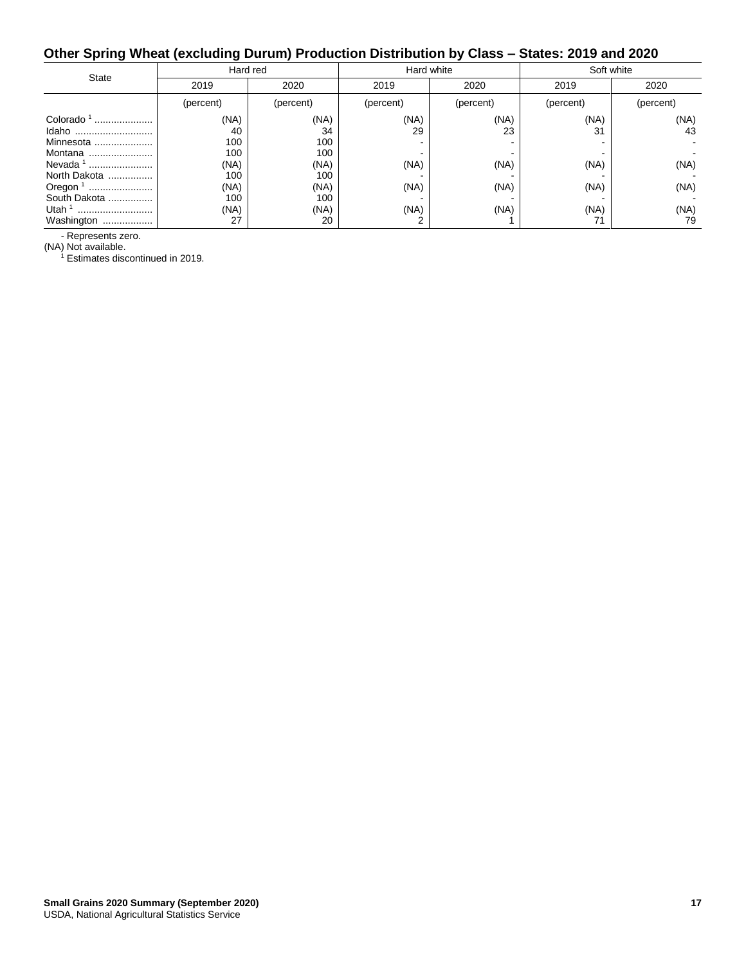# **Other Spring Wheat (excluding Durum) Production Distribution by Class – States: 2019 and 2020**

| State                 | Hard red  |           |           | Hard white | Soft white |           |
|-----------------------|-----------|-----------|-----------|------------|------------|-----------|
|                       | 2019      | 2020      | 2019      | 2020       | 2019       | 2020      |
|                       | (percent) | (percent) | (percent) | (percent)  | (percent)  | (percent) |
| Colorado <sup>1</sup> | (NA)      | (NA)      | (NA)      | (NA)       | (NA)       | (NA)      |
| Idaho                 | 40        | 34        | 29        | 23         | 31         | 43        |
| Minnesota             | 100       | 100       |           |            |            |           |
| Montana               | 100       | 100       |           |            |            |           |
|                       | (NA)      | (NA)      | (NA)      | (NA)       | (NA)       | (NA)      |
| North Dakota          | 100       | 100       |           |            |            |           |
|                       | (NA)      | (NA)      | (NA)      | (NA)       | (NA)       | (NA)      |
| South Dakota          | 100       | 100       |           |            |            |           |
|                       | (NA)      | (NA)      | (NA)      | (NA)       | (NA)       | (NA)      |
| Washington            | 27        | 20        |           |            |            | 79        |

- Represents zero.

(NA) Not available.

 $<sup>1</sup>$  Estimates discontinued in 2019.</sup>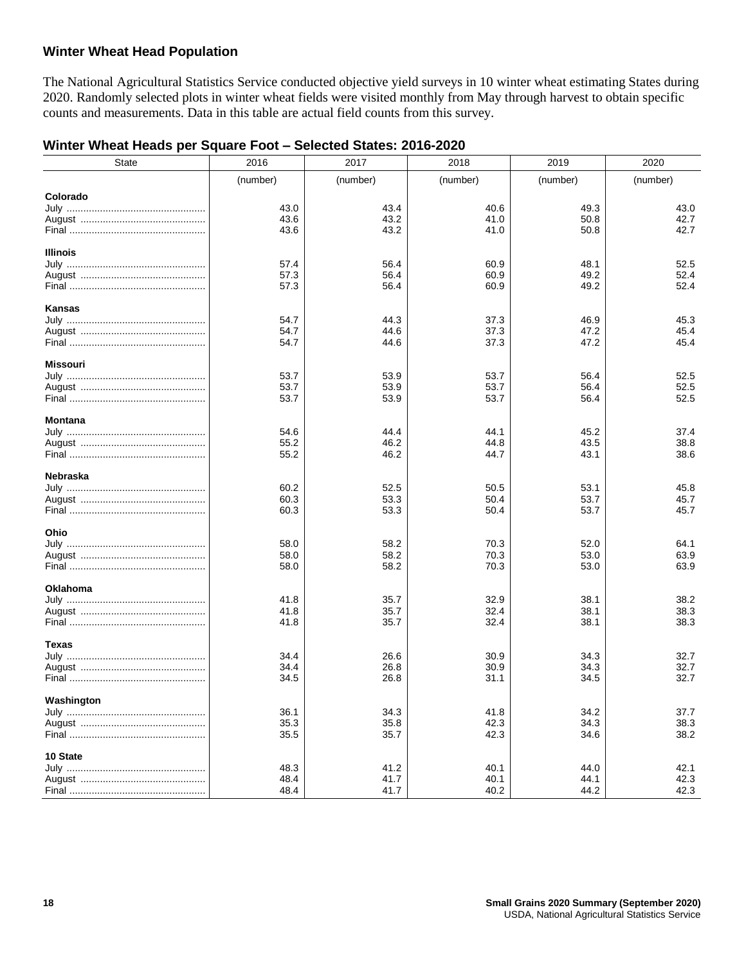# **Winter Wheat Head Population**

The National Agricultural Statistics Service conducted objective yield surveys in 10 winter wheat estimating States during 2020. Randomly selected plots in winter wheat fields were visited monthly from May through harvest to obtain specific counts and measurements. Data in this table are actual field counts from this survey.

| <b>State</b>    | 2016     | 2017     | 2018     | 2019     | 2020     |
|-----------------|----------|----------|----------|----------|----------|
|                 | (number) | (number) | (number) | (number) | (number) |
| Colorado        |          |          |          |          |          |
|                 | 43.0     | 43.4     | 40.6     | 49.3     | 43.0     |
|                 | 43.6     | 43.2     | 41.0     | 50.8     | 42.7     |
|                 | 43.6     | 43.2     | 41.0     | 50.8     | 42.7     |
| <b>Illinois</b> |          |          |          |          |          |
|                 | 57.4     | 56.4     | 60.9     | 48.1     | 52.5     |
|                 | 57.3     | 56.4     | 60.9     | 49.2     | 52.4     |
|                 | 57.3     | 56.4     | 60.9     | 49.2     | 52.4     |
| Kansas          |          |          |          |          |          |
|                 | 54.7     | 44.3     | 37.3     | 46.9     | 45.3     |
|                 | 54.7     | 44.6     | 37.3     | 47.2     | 45.4     |
|                 | 54.7     | 44.6     | 37.3     | 47.2     | 45.4     |
| Missouri        |          |          |          |          |          |
|                 | 53.7     | 53.9     | 53.7     | 56.4     | 52.5     |
|                 | 53.7     | 53.9     | 53.7     | 56.4     | 52.5     |
|                 | 53.7     | 53.9     | 53.7     | 56.4     | 52.5     |
| Montana         |          |          |          |          |          |
|                 | 54.6     | 44.4     | 44.1     | 45.2     | 37.4     |
|                 | 55.2     | 46.2     | 44.8     | 43.5     | 38.8     |
|                 | 55.2     | 46.2     | 44.7     | 43.1     | 38.6     |
| Nebraska        |          |          |          |          |          |
|                 | 60.2     | 52.5     | 50.5     | 53.1     | 45.8     |
|                 | 60.3     | 53.3     | 50.4     | 53.7     | 45.7     |
|                 | 60.3     | 53.3     | 50.4     | 53.7     | 45.7     |
| Ohio            |          |          |          |          |          |
|                 | 58.0     | 58.2     | 70.3     | 52.0     | 64.1     |
|                 | 58.0     | 58.2     | 70.3     | 53.0     | 63.9     |
|                 | 58.0     | 58.2     | 70.3     | 53.0     | 63.9     |
| Oklahoma        |          |          |          |          |          |
|                 | 41.8     | 35.7     | 32.9     | 38.1     | 38.2     |
|                 | 41.8     | 35.7     | 32.4     | 38.1     | 38.3     |
|                 | 41.8     | 35.7     | 32.4     | 38.1     | 38.3     |
| Texas           |          |          |          |          |          |
|                 | 34.4     | 26.6     | 30.9     | 34.3     | 32.7     |
|                 | 34.4     | 26.8     | 30.9     | 34.3     | 32.7     |
|                 | 34.5     | 26.8     | 31.1     | 34.5     | 32.7     |
| Washington      |          |          |          |          |          |
|                 | 36.1     | 34.3     | 41.8     | 34.2     | 37.7     |
|                 | 35.3     | 35.8     | 42.3     | 34.3     | 38.3     |
|                 | 35.5     | 35.7     | 42.3     | 34.6     | 38.2     |
| 10 State        |          |          |          |          |          |
|                 | 48.3     | 41.2     | 40.1     | 44.0     | 42.1     |
|                 | 48.4     | 41.7     | 40.1     | 44.1     | 42.3     |
|                 | 48.4     | 41.7     | 40.2     | 44.2     | 42.3     |

#### **Winter Wheat Heads per Square Foot – Selected States: 2016-2020**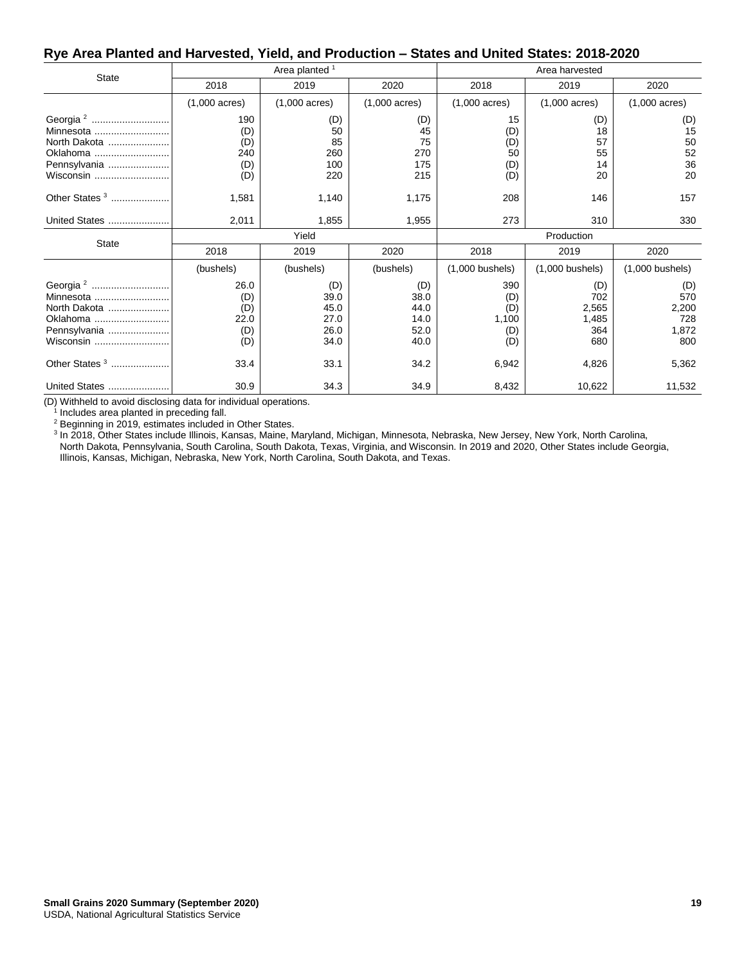#### **Rye Area Planted and Harvested, Yield, and Production – States and United States: 2018-2020**

| <b>State</b>                                                                                                              | Area planted <sup>1</sup>                        |                                                     |                                                     | Area harvested                                    |                                                     |                                                     |
|---------------------------------------------------------------------------------------------------------------------------|--------------------------------------------------|-----------------------------------------------------|-----------------------------------------------------|---------------------------------------------------|-----------------------------------------------------|-----------------------------------------------------|
|                                                                                                                           | 2018                                             | 2019                                                | 2020                                                | 2018                                              | 2019                                                | 2020                                                |
|                                                                                                                           | $(1,000 \text{ acres})$                          | $(1,000 \text{ acres})$                             | $(1,000 \text{ acres})$                             | $(1,000 \text{ acres})$                           | $(1,000 \text{ acres})$                             | $(1,000 \text{ acres})$                             |
| Georgia <sup>2</sup><br>Minnesota                                                                                         | 190<br>(D)                                       | (D)<br>50                                           | (D)<br>45                                           | 15<br>(D)                                         | (D)<br>18                                           | (D)<br>15                                           |
| North Dakota<br>Oklahoma                                                                                                  | (D)<br>240                                       | 85<br>260<br>100                                    | 75<br>270<br>175                                    | (D)<br>50                                         | 57<br>55<br>14                                      | 50<br>52<br>36                                      |
| Pennsylvania  <br>Wisconsin                                                                                               | (D)<br>(D)                                       | 220                                                 | 215                                                 | (D)<br>(D)                                        | 20                                                  | 20                                                  |
| Other States <sup>3</sup>                                                                                                 | 1,581                                            | 1,140                                               | 1,175                                               | 208                                               | 146                                                 | 157                                                 |
| United States                                                                                                             | 2,011                                            | 1,855                                               | 1,955                                               | 273                                               | 310                                                 | 330                                                 |
| <b>State</b>                                                                                                              | Yield                                            |                                                     |                                                     | Production                                        |                                                     |                                                     |
|                                                                                                                           | 2018                                             | 2019                                                | 2020                                                | 2018                                              | 2019                                                | 2020                                                |
|                                                                                                                           | (bushels)                                        | (bushels)                                           | (bushels)                                           | $(1,000$ bushels)                                 | $(1,000$ bushels)                                   | $(1,000$ bushels)                                   |
| Georgia <sup>2</sup><br>Minnesota<br>North Dakota<br>Oklahoma<br>Pennsylvania  <br>Wisconsin<br>Other States <sup>3</sup> | 26.0<br>(D)<br>(D)<br>22.0<br>(D)<br>(D)<br>33.4 | (D)<br>39.0<br>45.0<br>27.0<br>26.0<br>34.0<br>33.1 | (D)<br>38.0<br>44.0<br>14.0<br>52.0<br>40.0<br>34.2 | 390<br>(D)<br>(D)<br>1,100<br>(D)<br>(D)<br>6,942 | (D)<br>702<br>2,565<br>1,485<br>364<br>680<br>4,826 | (D)<br>570<br>2,200<br>728<br>1,872<br>800<br>5,362 |
| United States                                                                                                             | 30.9                                             | 34.3                                                | 34.9                                                | 8,432                                             | 10,622                                              | 11,532                                              |

(D) Withheld to avoid disclosing data for individual operations.

<sup>1</sup> Includes area planted in preceding fall.

<sup>2</sup> Beginning in 2019, estimates included in Other States.

<sup>3</sup> In 2018, Other States include Illinois, Kansas, Maine, Maryland, Michigan, Minnesota, Nebraska, New Jersey, New York, North Carolina, North Dakota, Pennsylvania, South Carolina, South Dakota, Texas, Virginia, and Wisconsin. In 2019 and 2020, Other States include Georgia, Illinois, Kansas, Michigan, Nebraska, New York, North Carolina, South Dakota, and Texas.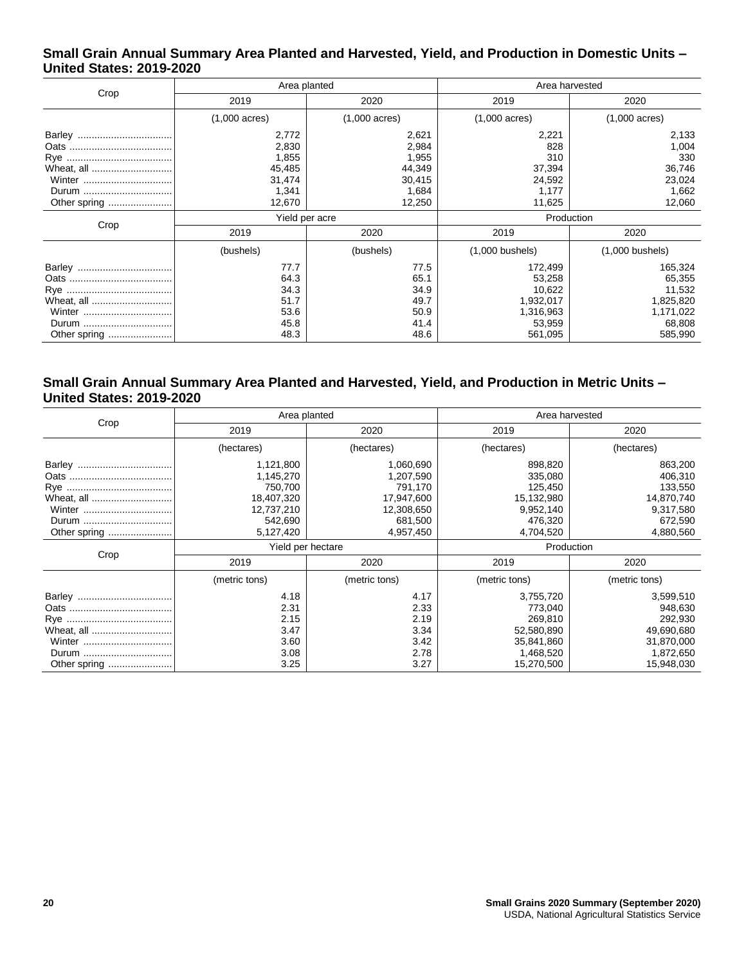#### **Small Grain Annual Summary Area Planted and Harvested, Yield, and Production in Domestic Units – United States: 2019-2020**

|              | Area planted            |                         | Area harvested          |                         |  |
|--------------|-------------------------|-------------------------|-------------------------|-------------------------|--|
| Crop         | 2019                    | 2020                    | 2019                    | 2020                    |  |
|              | $(1,000 \text{ acres})$ | $(1,000 \text{ acres})$ | $(1,000 \text{ acres})$ | $(1,000 \text{ acres})$ |  |
| Barley       | 2,772                   | 2,621                   | 2,221                   | 2,133                   |  |
|              | 2,830                   | 2,984                   | 828                     | 1,004                   |  |
|              | 1,855                   | 1,955                   | 310                     | 330                     |  |
| Wheat, all   | 45,485                  | 44,349                  | 37,394                  | 36,746                  |  |
| Winter       | 31,474                  | 30,415                  | 24,592                  | 23,024                  |  |
|              | 1,341                   | 1,684                   | 1,177                   | 1,662                   |  |
| Other spring | 12,670                  | 12,250                  | 11,625                  | 12,060                  |  |
| Crop         | Yield per acre          |                         | Production              |                         |  |
|              | 2019                    | 2020                    | 2019                    | 2020                    |  |
|              | (bushels)               | (bushels)               | $(1,000$ bushels)       | $(1,000$ bushels)       |  |
| Barley       | 77.7                    | 77.5                    | 172,499                 | 165,324                 |  |
|              | 64.3                    | 65.1                    | 53,258                  | 65,355                  |  |
|              | 34.3                    | 34.9                    | 10,622                  | 11,532                  |  |
| Wheat, all   | 51.7                    | 49.7                    | 1,932,017               | 1,825,820               |  |
| Winter       | 53.6                    | 50.9                    | 1,316,963               | 1,171,022               |  |
|              | 45.8                    | 41.4                    | 53,959                  | 68,808                  |  |
| Other spring | 48.3                    | 48.6                    | 561,095                 | 585,990                 |  |

#### **Small Grain Annual Summary Area Planted and Harvested, Yield, and Production in Metric Units – United States: 2019-2020**

|              | Area planted      |               | Area harvested |               |  |  |
|--------------|-------------------|---------------|----------------|---------------|--|--|
| Crop         | 2019              | 2020          | 2019           | 2020          |  |  |
|              | (hectares)        | (hectares)    | (hectares)     | (hectares)    |  |  |
|              | 1,121,800         | 1,060,690     | 898,820        | 863,200       |  |  |
|              | 1,145,270         | 1,207,590     | 335,080        | 406,310       |  |  |
|              | 750,700           | 791,170       | 125,450        | 133,550       |  |  |
| Wheat, all   | 18,407,320        | 17,947,600    | 15,132,980     | 14,870,740    |  |  |
| Winter       | 12,737,210        | 12,308,650    | 9,952,140      | 9,317,580     |  |  |
| Durum        | 542,690           | 681,500       | 476,320        | 672,590       |  |  |
| Other spring | 5,127,420         | 4,957,450     | 4,704,520      | 4,880,560     |  |  |
|              | Yield per hectare |               |                | Production    |  |  |
| Crop         | 2019              | 2020          | 2019           | 2020          |  |  |
|              | (metric tons)     | (metric tons) | (metric tons)  | (metric tons) |  |  |
|              | 4.18              | 4.17          | 3,755,720      | 3,599,510     |  |  |
|              | 2.31              | 2.33          | 773.040        | 948.630       |  |  |
|              | 2.15              | 2.19          | 269,810        | 292,930       |  |  |
| Wheat, all   | 3.47              | 3.34          | 52,580,890     | 49,690,680    |  |  |
| Winter       | 3.60              | 3.42          | 35,841,860     | 31,870,000    |  |  |
| Durum        | 3.08              | 2.78          | 1,468,520      | 1,872,650     |  |  |
| Other spring | 3.25              | 3.27          | 15,270,500     | 15,948,030    |  |  |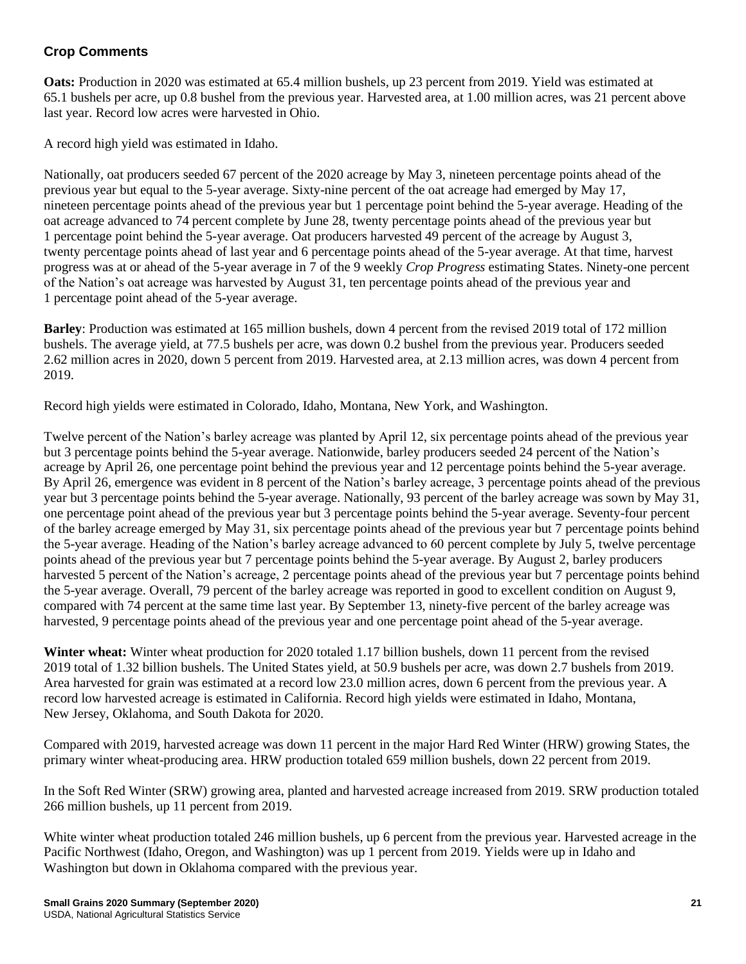# **Crop Comments**

**Oats:** Production in 2020 was estimated at 65.4 million bushels, up 23 percent from 2019. Yield was estimated at 65.1 bushels per acre, up 0.8 bushel from the previous year. Harvested area, at 1.00 million acres, was 21 percent above last year. Record low acres were harvested in Ohio.

A record high yield was estimated in Idaho.

Nationally, oat producers seeded 67 percent of the 2020 acreage by May 3, nineteen percentage points ahead of the previous year but equal to the 5-year average. Sixty-nine percent of the oat acreage had emerged by May 17, nineteen percentage points ahead of the previous year but 1 percentage point behind the 5-year average. Heading of the oat acreage advanced to 74 percent complete by June 28, twenty percentage points ahead of the previous year but 1 percentage point behind the 5-year average. Oat producers harvested 49 percent of the acreage by August 3, twenty percentage points ahead of last year and 6 percentage points ahead of the 5-year average. At that time, harvest progress was at or ahead of the 5-year average in 7 of the 9 weekly *Crop Progress* estimating States. Ninety-one percent of the Nation's oat acreage was harvested by August 31, ten percentage points ahead of the previous year and 1 percentage point ahead of the 5-year average.

**Barley**: Production was estimated at 165 million bushels, down 4 percent from the revised 2019 total of 172 million bushels. The average yield, at 77.5 bushels per acre, was down 0.2 bushel from the previous year. Producers seeded 2.62 million acres in 2020, down 5 percent from 2019. Harvested area, at 2.13 million acres, was down 4 percent from 2019.

Record high yields were estimated in Colorado, Idaho, Montana, New York, and Washington.

Twelve percent of the Nation's barley acreage was planted by April 12, six percentage points ahead of the previous year but 3 percentage points behind the 5-year average. Nationwide, barley producers seeded 24 percent of the Nation's acreage by April 26, one percentage point behind the previous year and 12 percentage points behind the 5-year average. By April 26, emergence was evident in 8 percent of the Nation's barley acreage, 3 percentage points ahead of the previous year but 3 percentage points behind the 5-year average. Nationally, 93 percent of the barley acreage was sown by May 31, one percentage point ahead of the previous year but 3 percentage points behind the 5-year average. Seventy-four percent of the barley acreage emerged by May 31, six percentage points ahead of the previous year but 7 percentage points behind the 5-year average. Heading of the Nation's barley acreage advanced to 60 percent complete by July 5, twelve percentage points ahead of the previous year but 7 percentage points behind the 5-year average. By August 2, barley producers harvested 5 percent of the Nation's acreage, 2 percentage points ahead of the previous year but 7 percentage points behind the 5-year average. Overall, 79 percent of the barley acreage was reported in good to excellent condition on August 9, compared with 74 percent at the same time last year. By September 13, ninety-five percent of the barley acreage was harvested, 9 percentage points ahead of the previous year and one percentage point ahead of the 5-year average.

**Winter wheat:** Winter wheat production for 2020 totaled 1.17 billion bushels, down 11 percent from the revised 2019 total of 1.32 billion bushels. The United States yield, at 50.9 bushels per acre, was down 2.7 bushels from 2019. Area harvested for grain was estimated at a record low 23.0 million acres, down 6 percent from the previous year. A record low harvested acreage is estimated in California. Record high yields were estimated in Idaho, Montana, New Jersey, Oklahoma, and South Dakota for 2020.

Compared with 2019, harvested acreage was down 11 percent in the major Hard Red Winter (HRW) growing States, the primary winter wheat-producing area. HRW production totaled 659 million bushels, down 22 percent from 2019.

In the Soft Red Winter (SRW) growing area, planted and harvested acreage increased from 2019. SRW production totaled 266 million bushels, up 11 percent from 2019.

White winter wheat production totaled 246 million bushels, up 6 percent from the previous year. Harvested acreage in the Pacific Northwest (Idaho, Oregon, and Washington) was up 1 percent from 2019. Yields were up in Idaho and Washington but down in Oklahoma compared with the previous year.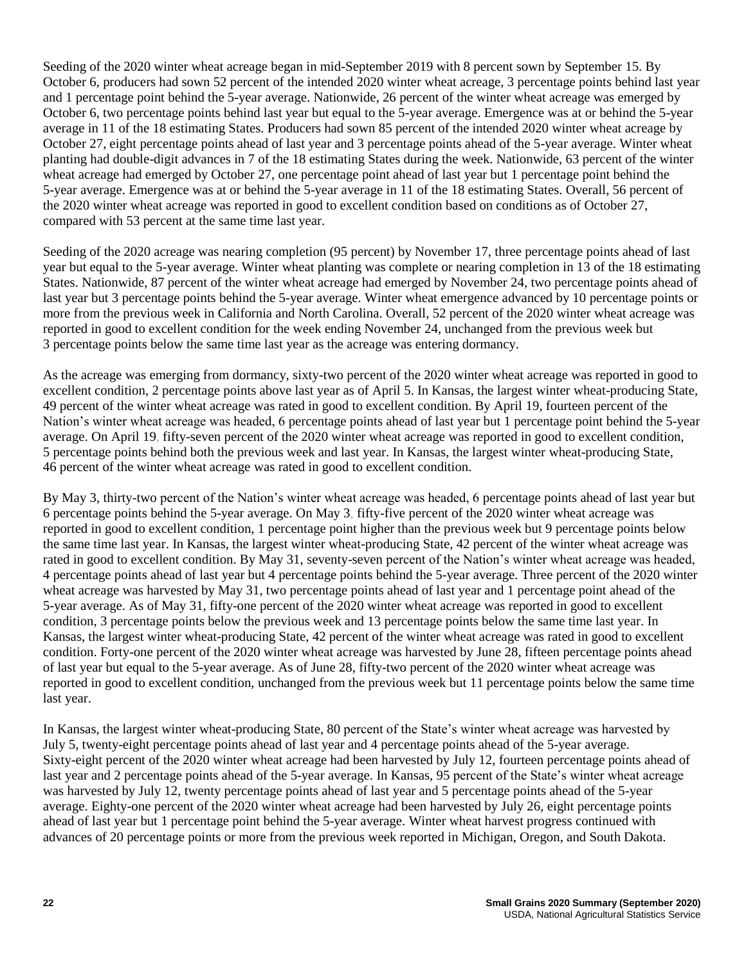Seeding of the 2020 winter wheat acreage began in mid-September 2019 with 8 percent sown by September 15. By October 6, producers had sown 52 percent of the intended 2020 winter wheat acreage, 3 percentage points behind last year and 1 percentage point behind the 5-year average. Nationwide, 26 percent of the winter wheat acreage was emerged by October 6, two percentage points behind last year but equal to the 5-year average. Emergence was at or behind the 5-year average in 11 of the 18 estimating States. Producers had sown 85 percent of the intended 2020 winter wheat acreage by October 27, eight percentage points ahead of last year and 3 percentage points ahead of the 5-year average. Winter wheat planting had double-digit advances in 7 of the 18 estimating States during the week. Nationwide, 63 percent of the winter wheat acreage had emerged by October 27, one percentage point ahead of last year but 1 percentage point behind the 5-year average. Emergence was at or behind the 5-year average in 11 of the 18 estimating States. Overall, 56 percent of the 2020 winter wheat acreage was reported in good to excellent condition based on conditions as of October 27, compared with 53 percent at the same time last year.

Seeding of the 2020 acreage was nearing completion (95 percent) by November 17, three percentage points ahead of last year but equal to the 5-year average. Winter wheat planting was complete or nearing completion in 13 of the 18 estimating States. Nationwide, 87 percent of the winter wheat acreage had emerged by November 24, two percentage points ahead of last year but 3 percentage points behind the 5-year average. Winter wheat emergence advanced by 10 percentage points or more from the previous week in California and North Carolina. Overall, 52 percent of the 2020 winter wheat acreage was reported in good to excellent condition for the week ending November 24, unchanged from the previous week but 3 percentage points below the same time last year as the acreage was entering dormancy.

As the acreage was emerging from dormancy, sixty-two percent of the 2020 winter wheat acreage was reported in good to excellent condition, 2 percentage points above last year as of April 5. In Kansas, the largest winter wheat-producing State, 49 percent of the winter wheat acreage was rated in good to excellent condition. By April 19, fourteen percent of the Nation's winter wheat acreage was headed, 6 percentage points ahead of last year but 1 percentage point behind the 5-year average. On April 19, fifty-seven percent of the 2020 winter wheat acreage was reported in good to excellent condition, 5 percentage points behind both the previous week and last year. In Kansas, the largest winter wheat-producing State, 46 percent of the winter wheat acreage was rated in good to excellent condition.

By May 3, thirty-two percent of the Nation's winter wheat acreage was headed, 6 percentage points ahead of last year but 6 percentage points behind the 5-year average. On May 3, fifty-five percent of the 2020 winter wheat acreage was reported in good to excellent condition, 1 percentage point higher than the previous week but 9 percentage points below the same time last year. In Kansas, the largest winter wheat-producing State, 42 percent of the winter wheat acreage was rated in good to excellent condition. By May 31, seventy-seven percent of the Nation's winter wheat acreage was headed, 4 percentage points ahead of last year but 4 percentage points behind the 5-year average. Three percent of the 2020 winter wheat acreage was harvested by May 31, two percentage points ahead of last year and 1 percentage point ahead of the 5-year average. As of May 31, fifty-one percent of the 2020 winter wheat acreage was reported in good to excellent condition, 3 percentage points below the previous week and 13 percentage points below the same time last year. In Kansas, the largest winter wheat-producing State, 42 percent of the winter wheat acreage was rated in good to excellent condition. Forty-one percent of the 2020 winter wheat acreage was harvested by June 28, fifteen percentage points ahead of last year but equal to the 5-year average. As of June 28, fifty-two percent of the 2020 winter wheat acreage was reported in good to excellent condition, unchanged from the previous week but 11 percentage points below the same time last year.

In Kansas, the largest winter wheat-producing State, 80 percent of the State's winter wheat acreage was harvested by July 5, twenty-eight percentage points ahead of last year and 4 percentage points ahead of the 5-year average. Sixty-eight percent of the 2020 winter wheat acreage had been harvested by July 12, fourteen percentage points ahead of last year and 2 percentage points ahead of the 5-year average. In Kansas, 95 percent of the State's winter wheat acreage was harvested by July 12, twenty percentage points ahead of last year and 5 percentage points ahead of the 5-year average. Eighty-one percent of the 2020 winter wheat acreage had been harvested by July 26, eight percentage points ahead of last year but 1 percentage point behind the 5-year average. Winter wheat harvest progress continued with advances of 20 percentage points or more from the previous week reported in Michigan, Oregon, and South Dakota.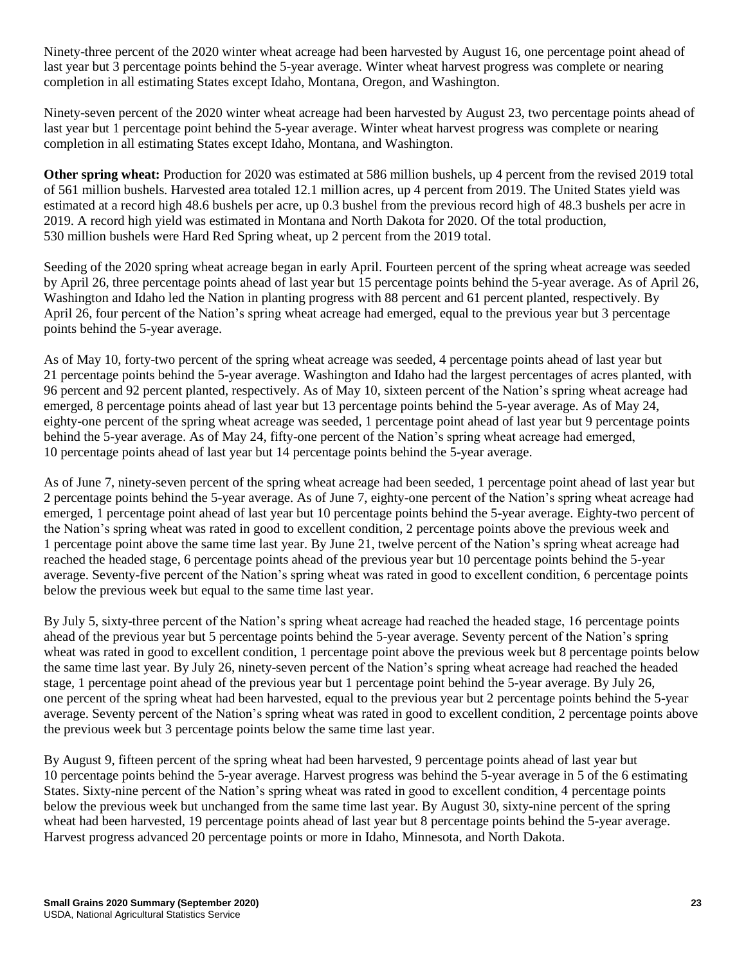Ninety-three percent of the 2020 winter wheat acreage had been harvested by August 16, one percentage point ahead of last year but 3 percentage points behind the 5-year average. Winter wheat harvest progress was complete or nearing completion in all estimating States except Idaho, Montana, Oregon, and Washington.

Ninety-seven percent of the 2020 winter wheat acreage had been harvested by August 23, two percentage points ahead of last year but 1 percentage point behind the 5-year average. Winter wheat harvest progress was complete or nearing completion in all estimating States except Idaho, Montana, and Washington.

**Other spring wheat:** Production for 2020 was estimated at 586 million bushels, up 4 percent from the revised 2019 total of 561 million bushels. Harvested area totaled 12.1 million acres, up 4 percent from 2019. The United States yield was estimated at a record high 48.6 bushels per acre, up 0.3 bushel from the previous record high of 48.3 bushels per acre in 2019. A record high yield was estimated in Montana and North Dakota for 2020. Of the total production, 530 million bushels were Hard Red Spring wheat, up 2 percent from the 2019 total.

Seeding of the 2020 spring wheat acreage began in early April. Fourteen percent of the spring wheat acreage was seeded by April 26, three percentage points ahead of last year but 15 percentage points behind the 5-year average. As of April 26, Washington and Idaho led the Nation in planting progress with 88 percent and 61 percent planted, respectively. By April 26, four percent of the Nation's spring wheat acreage had emerged, equal to the previous year but 3 percentage points behind the 5-year average.

As of May 10, forty-two percent of the spring wheat acreage was seeded, 4 percentage points ahead of last year but 21 percentage points behind the 5-year average. Washington and Idaho had the largest percentages of acres planted, with 96 percent and 92 percent planted, respectively. As of May 10, sixteen percent of the Nation's spring wheat acreage had emerged, 8 percentage points ahead of last year but 13 percentage points behind the 5-year average. As of May 24, eighty-one percent of the spring wheat acreage was seeded, 1 percentage point ahead of last year but 9 percentage points behind the 5-year average. As of May 24, fifty-one percent of the Nation's spring wheat acreage had emerged, 10 percentage points ahead of last year but 14 percentage points behind the 5-year average.

As of June 7, ninety-seven percent of the spring wheat acreage had been seeded, 1 percentage point ahead of last year but 2 percentage points behind the 5-year average. As of June 7, eighty-one percent of the Nation's spring wheat acreage had emerged, 1 percentage point ahead of last year but 10 percentage points behind the 5-year average. Eighty-two percent of the Nation's spring wheat was rated in good to excellent condition, 2 percentage points above the previous week and 1 percentage point above the same time last year. By June 21, twelve percent of the Nation's spring wheat acreage had reached the headed stage, 6 percentage points ahead of the previous year but 10 percentage points behind the 5-year average. Seventy-five percent of the Nation's spring wheat was rated in good to excellent condition, 6 percentage points below the previous week but equal to the same time last year.

By July 5, sixty-three percent of the Nation's spring wheat acreage had reached the headed stage, 16 percentage points ahead of the previous year but 5 percentage points behind the 5-year average. Seventy percent of the Nation's spring wheat was rated in good to excellent condition, 1 percentage point above the previous week but 8 percentage points below the same time last year. By July 26, ninety-seven percent of the Nation's spring wheat acreage had reached the headed stage, 1 percentage point ahead of the previous year but 1 percentage point behind the 5-year average. By July 26, one percent of the spring wheat had been harvested, equal to the previous year but 2 percentage points behind the 5-year average. Seventy percent of the Nation's spring wheat was rated in good to excellent condition, 2 percentage points above the previous week but 3 percentage points below the same time last year.

By August 9, fifteen percent of the spring wheat had been harvested, 9 percentage points ahead of last year but 10 percentage points behind the 5-year average. Harvest progress was behind the 5-year average in 5 of the 6 estimating States. Sixty-nine percent of the Nation's spring wheat was rated in good to excellent condition, 4 percentage points below the previous week but unchanged from the same time last year. By August 30, sixty-nine percent of the spring wheat had been harvested, 19 percentage points ahead of last year but 8 percentage points behind the 5-year average. Harvest progress advanced 20 percentage points or more in Idaho, Minnesota, and North Dakota.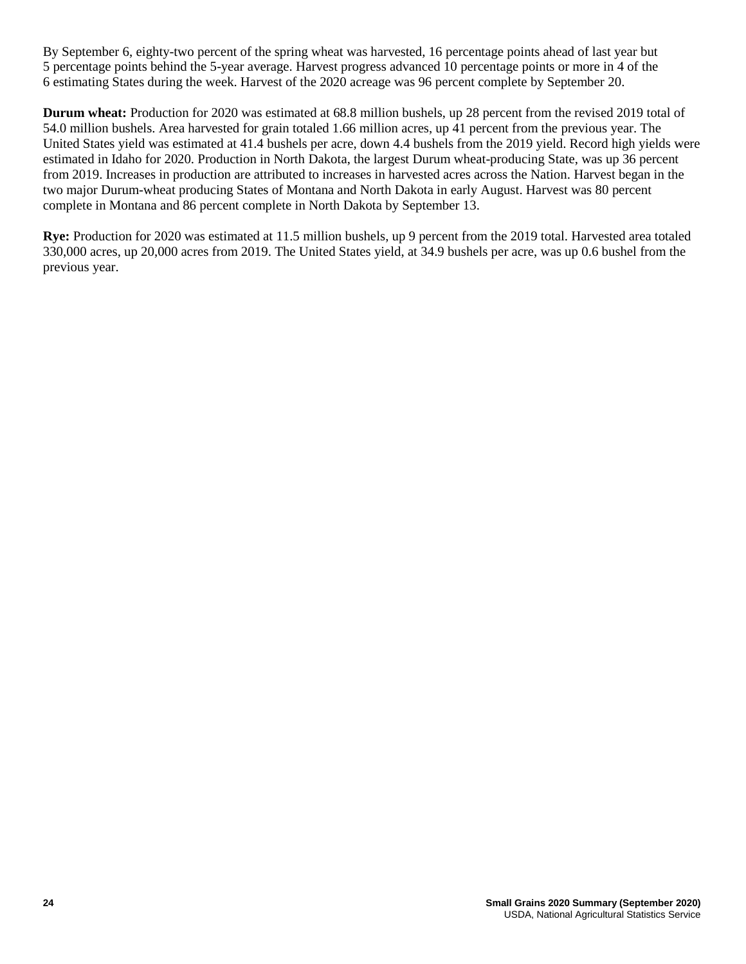By September 6, eighty-two percent of the spring wheat was harvested, 16 percentage points ahead of last year but 5 percentage points behind the 5-year average. Harvest progress advanced 10 percentage points or more in 4 of the 6 estimating States during the week. Harvest of the 2020 acreage was 96 percent complete by September 20.

**Durum wheat:** Production for 2020 was estimated at 68.8 million bushels, up 28 percent from the revised 2019 total of 54.0 million bushels. Area harvested for grain totaled 1.66 million acres, up 41 percent from the previous year. The United States yield was estimated at 41.4 bushels per acre, down 4.4 bushels from the 2019 yield. Record high yields were estimated in Idaho for 2020. Production in North Dakota, the largest Durum wheat-producing State, was up 36 percent from 2019. Increases in production are attributed to increases in harvested acres across the Nation. Harvest began in the two major Durum-wheat producing States of Montana and North Dakota in early August. Harvest was 80 percent complete in Montana and 86 percent complete in North Dakota by September 13.

**Rye:** Production for 2020 was estimated at 11.5 million bushels, up 9 percent from the 2019 total. Harvested area totaled 330,000 acres, up 20,000 acres from 2019. The United States yield, at 34.9 bushels per acre, was up 0.6 bushel from the previous year.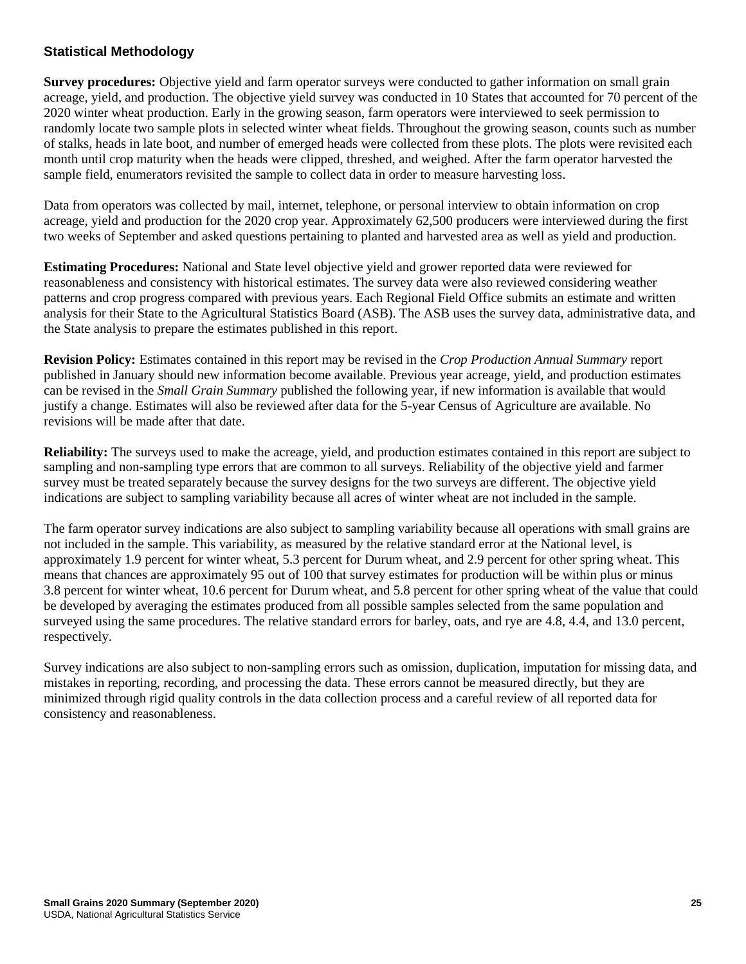# **Statistical Methodology**

**Survey procedures:** Objective yield and farm operator surveys were conducted to gather information on small grain acreage, yield, and production. The objective yield survey was conducted in 10 States that accounted for 70 percent of the 2020 winter wheat production. Early in the growing season, farm operators were interviewed to seek permission to randomly locate two sample plots in selected winter wheat fields. Throughout the growing season, counts such as number of stalks, heads in late boot, and number of emerged heads were collected from these plots. The plots were revisited each month until crop maturity when the heads were clipped, threshed, and weighed. After the farm operator harvested the sample field, enumerators revisited the sample to collect data in order to measure harvesting loss.

Data from operators was collected by mail, internet, telephone, or personal interview to obtain information on crop acreage, yield and production for the 2020 crop year. Approximately 62,500 producers were interviewed during the first two weeks of September and asked questions pertaining to planted and harvested area as well as yield and production.

**Estimating Procedures:** National and State level objective yield and grower reported data were reviewed for reasonableness and consistency with historical estimates. The survey data were also reviewed considering weather patterns and crop progress compared with previous years. Each Regional Field Office submits an estimate and written analysis for their State to the Agricultural Statistics Board (ASB). The ASB uses the survey data, administrative data, and the State analysis to prepare the estimates published in this report.

**Revision Policy:** Estimates contained in this report may be revised in the *Crop Production Annual Summary* report published in January should new information become available. Previous year acreage, yield, and production estimates can be revised in the *Small Grain Summary* published the following year, if new information is available that would justify a change. Estimates will also be reviewed after data for the 5-year Census of Agriculture are available. No revisions will be made after that date.

**Reliability:** The surveys used to make the acreage, yield, and production estimates contained in this report are subject to sampling and non-sampling type errors that are common to all surveys. Reliability of the objective yield and farmer survey must be treated separately because the survey designs for the two surveys are different. The objective yield indications are subject to sampling variability because all acres of winter wheat are not included in the sample.

The farm operator survey indications are also subject to sampling variability because all operations with small grains are not included in the sample. This variability, as measured by the relative standard error at the National level, is approximately 1.9 percent for winter wheat, 5.3 percent for Durum wheat, and 2.9 percent for other spring wheat. This means that chances are approximately 95 out of 100 that survey estimates for production will be within plus or minus 3.8 percent for winter wheat, 10.6 percent for Durum wheat, and 5.8 percent for other spring wheat of the value that could be developed by averaging the estimates produced from all possible samples selected from the same population and surveyed using the same procedures. The relative standard errors for barley, oats, and rye are 4.8, 4.4, and 13.0 percent, respectively.

Survey indications are also subject to non-sampling errors such as omission, duplication, imputation for missing data, and mistakes in reporting, recording, and processing the data. These errors cannot be measured directly, but they are minimized through rigid quality controls in the data collection process and a careful review of all reported data for consistency and reasonableness.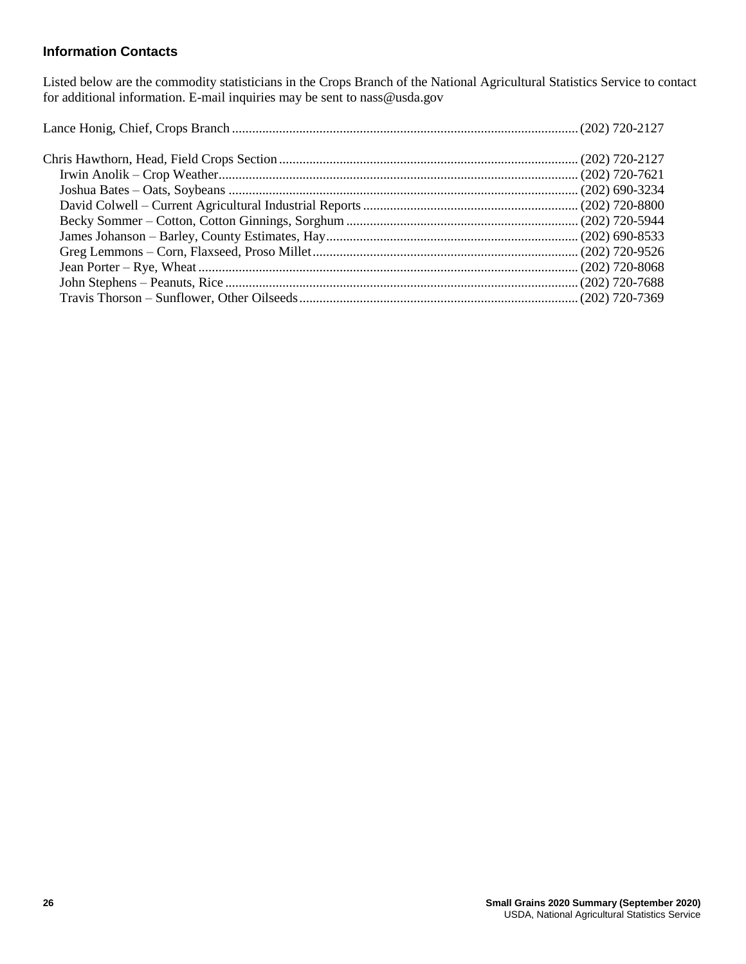# **Information Contacts**

Listed below are the commodity statisticians in the Crops Branch of the National Agricultural Statistics Service to contact for additional information. E-mail inquiries may be sent to nass@usda.gov